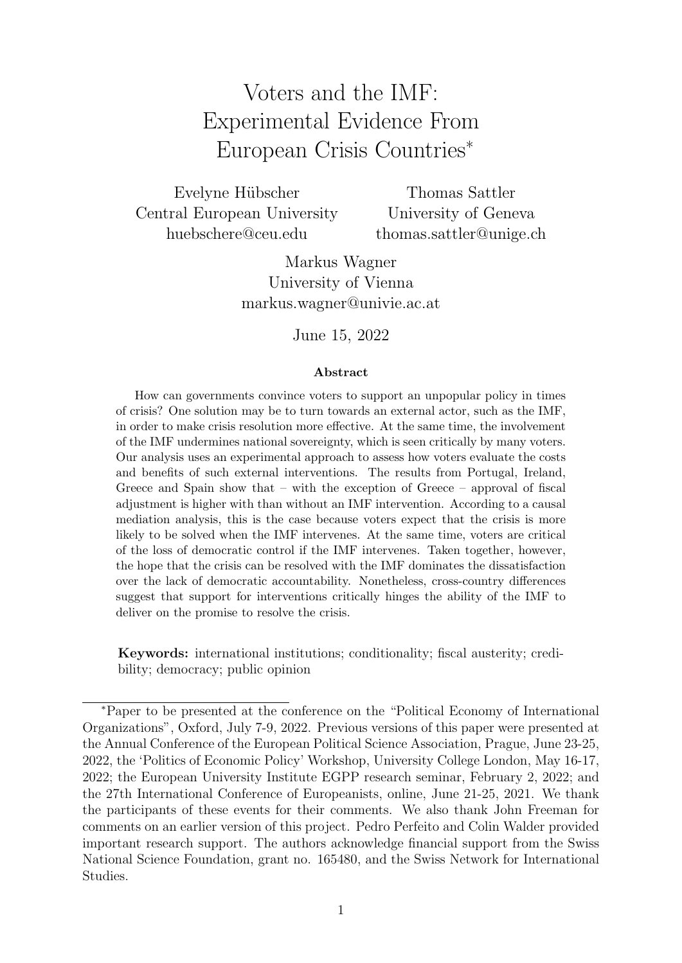# <span id="page-0-0"></span>Voters and the IMF: Experimental Evidence From European Crisis Countries<sup>∗</sup>

Evelyne Hübscher Central European University huebschere@ceu.edu

Thomas Sattler University of Geneva thomas.sattler@unige.ch

Markus Wagner University of Vienna markus.wagner@univie.ac.at

June 15, 2022

#### Abstract

How can governments convince voters to support an unpopular policy in times of crisis? One solution may be to turn towards an external actor, such as the IMF, in order to make crisis resolution more effective. At the same time, the involvement of the IMF undermines national sovereignty, which is seen critically by many voters. Our analysis uses an experimental approach to assess how voters evaluate the costs and benefits of such external interventions. The results from Portugal, Ireland, Greece and Spain show that – with the exception of Greece – approval of fiscal adjustment is higher with than without an IMF intervention. According to a causal mediation analysis, this is the case because voters expect that the crisis is more likely to be solved when the IMF intervenes. At the same time, voters are critical of the loss of democratic control if the IMF intervenes. Taken together, however, the hope that the crisis can be resolved with the IMF dominates the dissatisfaction over the lack of democratic accountability. Nonetheless, cross-country differences suggest that support for interventions critically hinges the ability of the IMF to deliver on the promise to resolve the crisis.

Keywords: international institutions; conditionality; fiscal austerity; credibility; democracy; public opinion

<sup>∗</sup>Paper to be presented at the conference on the "Political Economy of International Organizations", Oxford, July 7-9, 2022. Previous versions of this paper were presented at the Annual Conference of the European Political Science Association, Prague, June 23-25, 2022, the 'Politics of Economic Policy' Workshop, University College London, May 16-17, 2022; the European University Institute EGPP research seminar, February 2, 2022; and the 27th International Conference of Europeanists, online, June 21-25, 2021. We thank the participants of these events for their comments. We also thank John Freeman for comments on an earlier version of this project. Pedro Perfeito and Colin Walder provided important research support. The authors acknowledge financial support from the Swiss National Science Foundation, grant no. 165480, and the Swiss Network for International Studies.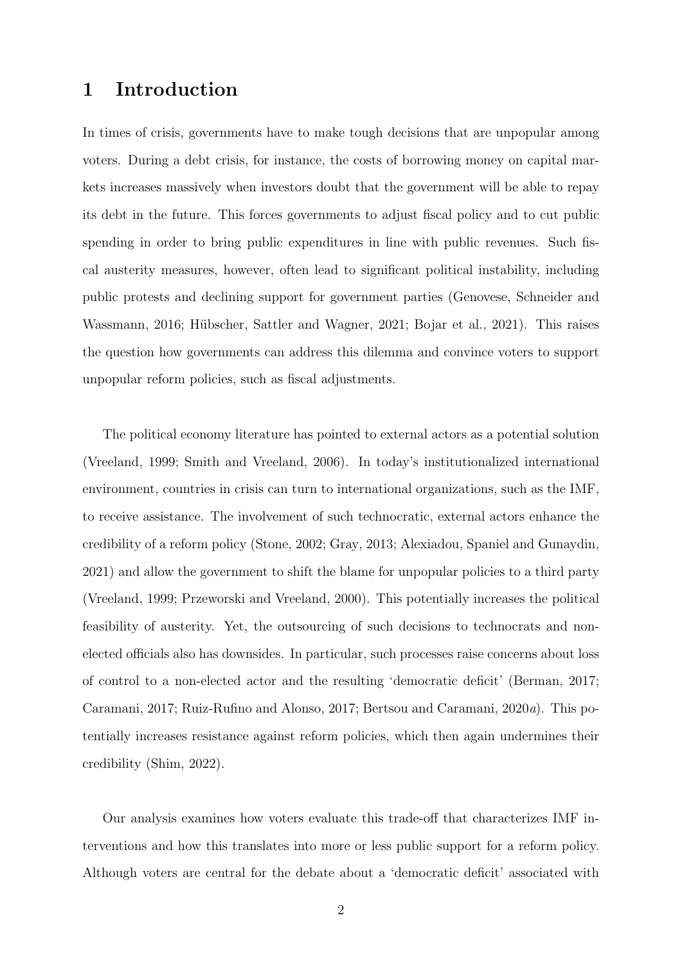### 1 Introduction

In times of crisis, governments have to make tough decisions that are unpopular among voters. During a debt crisis, for instance, the costs of borrowing money on capital markets increases massively when investors doubt that the government will be able to repay its debt in the future. This forces governments to adjust fiscal policy and to cut public spending in order to bring public expenditures in line with public revenues. Such fiscal austerity measures, however, often lead to significant political instability, including public protests and declining support for government parties [\(Genovese, Schneider and](#page-31-0) [Wassmann,](#page-31-0) [2016;](#page-31-0) Hübscher, Sattler and Wagner, [2021;](#page-31-1) [Bojar et al.,](#page-29-0) [2021\)](#page-29-0). This raises the question how governments can address this dilemma and convince voters to support unpopular reform policies, such as fiscal adjustments.

The political economy literature has pointed to external actors as a potential solution [\(Vreeland,](#page-33-0) [1999;](#page-33-0) [Smith and Vreeland,](#page-33-1) [2006\)](#page-33-1). In today's institutionalized international environment, countries in crisis can turn to international organizations, such as the IMF, to receive assistance. The involvement of such technocratic, external actors enhance the credibility of a reform policy [\(Stone,](#page-33-2) [2002;](#page-33-2) [Gray,](#page-31-2) [2013;](#page-31-2) [Alexiadou, Spaniel and Gunaydin,](#page-28-0) [2021\)](#page-28-0) and allow the government to shift the blame for unpopular policies to a third party [\(Vreeland,](#page-33-0) [1999;](#page-33-0) [Przeworski and Vreeland,](#page-32-0) [2000\)](#page-32-0). This potentially increases the political feasibility of austerity. Yet, the outsourcing of such decisions to technocrats and nonelected officials also has downsides. In particular, such processes raise concerns about loss of control to a non-elected actor and the resulting 'democratic deficit' [\(Berman,](#page-29-1) [2017;](#page-29-1) [Caramani,](#page-29-2) [2017;](#page-29-2) [Ruiz-Rufino and Alonso,](#page-33-3) [2017;](#page-33-3) [Bertsou and Caramani,](#page-29-3) [2020](#page-29-3)a). This potentially increases resistance against reform policies, which then again undermines their credibility [\(Shim,](#page-33-4) [2022\)](#page-33-4).

Our analysis examines how voters evaluate this trade-off that characterizes IMF interventions and how this translates into more or less public support for a reform policy. Although voters are central for the debate about a 'democratic deficit' associated with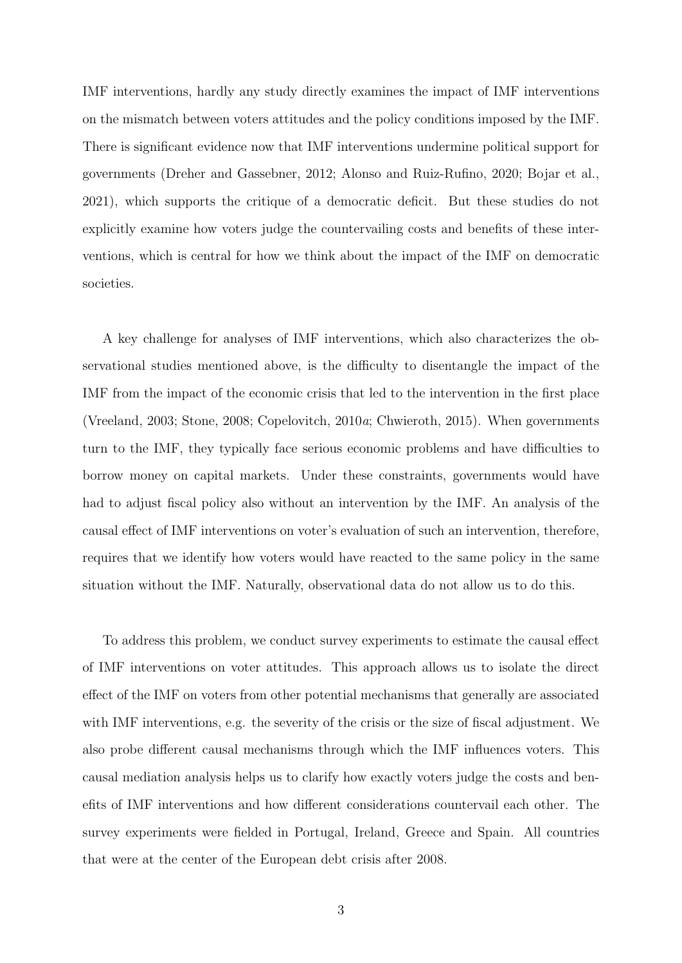IMF interventions, hardly any study directly examines the impact of IMF interventions on the mismatch between voters attitudes and the policy conditions imposed by the IMF. There is significant evidence now that IMF interventions undermine political support for governments [\(Dreher and Gassebner,](#page-31-3) [2012;](#page-31-3) [Alonso and Ruiz-Rufino,](#page-28-1) [2020;](#page-28-1) [Bojar et al.,](#page-29-0) [2021\)](#page-29-0), which supports the critique of a democratic deficit. But these studies do not explicitly examine how voters judge the countervailing costs and benefits of these interventions, which is central for how we think about the impact of the IMF on democratic societies.

A key challenge for analyses of IMF interventions, which also characterizes the observational studies mentioned above, is the difficulty to disentangle the impact of the IMF from the impact of the economic crisis that led to the intervention in the first place [\(Vreeland,](#page-33-5) [2003;](#page-33-5) [Stone,](#page-33-6) [2008;](#page-33-6) [Copelovitch,](#page-30-0) [2010](#page-30-0)a; [Chwieroth,](#page-30-1) [2015\)](#page-30-1). When governments turn to the IMF, they typically face serious economic problems and have difficulties to borrow money on capital markets. Under these constraints, governments would have had to adjust fiscal policy also without an intervention by the IMF. An analysis of the causal effect of IMF interventions on voter's evaluation of such an intervention, therefore, requires that we identify how voters would have reacted to the same policy in the same situation without the IMF. Naturally, observational data do not allow us to do this.

To address this problem, we conduct survey experiments to estimate the causal effect of IMF interventions on voter attitudes. This approach allows us to isolate the direct effect of the IMF on voters from other potential mechanisms that generally are associated with IMF interventions, e.g. the severity of the crisis or the size of fiscal adjustment. We also probe different causal mechanisms through which the IMF influences voters. This causal mediation analysis helps us to clarify how exactly voters judge the costs and benefits of IMF interventions and how different considerations countervail each other. The survey experiments were fielded in Portugal, Ireland, Greece and Spain. All countries that were at the center of the European debt crisis after 2008.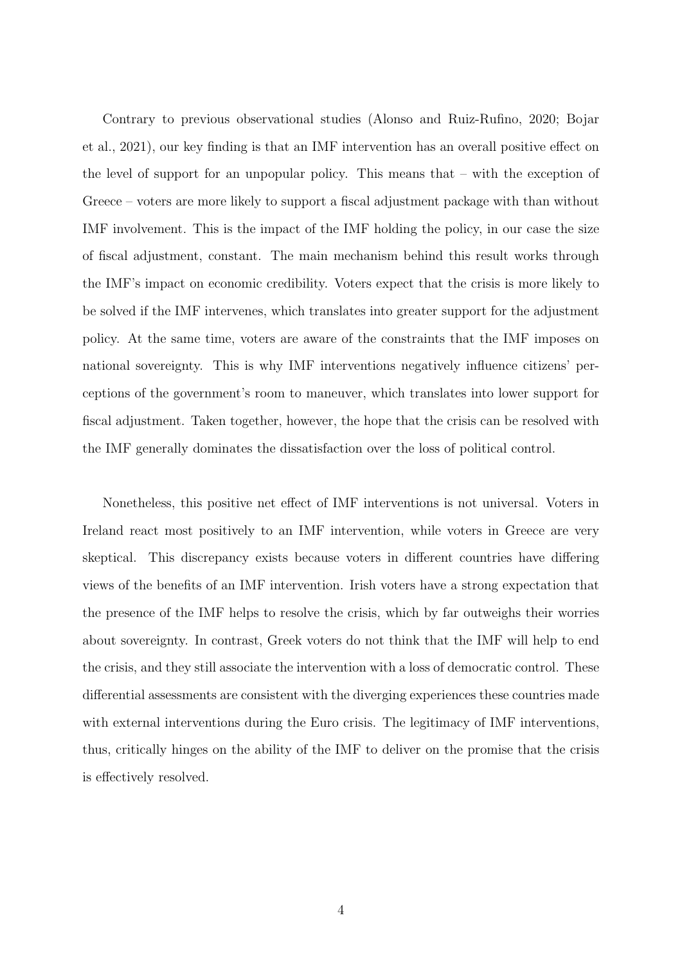Contrary to previous observational studies [\(Alonso and Ruiz-Rufino,](#page-28-1) [2020;](#page-28-1) [Bojar](#page-29-0) [et al.,](#page-29-0) [2021\)](#page-29-0), our key finding is that an IMF intervention has an overall positive effect on the level of support for an unpopular policy. This means that – with the exception of Greece – voters are more likely to support a fiscal adjustment package with than without IMF involvement. This is the impact of the IMF holding the policy, in our case the size of fiscal adjustment, constant. The main mechanism behind this result works through the IMF's impact on economic credibility. Voters expect that the crisis is more likely to be solved if the IMF intervenes, which translates into greater support for the adjustment policy. At the same time, voters are aware of the constraints that the IMF imposes on national sovereignty. This is why IMF interventions negatively influence citizens' perceptions of the government's room to maneuver, which translates into lower support for fiscal adjustment. Taken together, however, the hope that the crisis can be resolved with the IMF generally dominates the dissatisfaction over the loss of political control.

Nonetheless, this positive net effect of IMF interventions is not universal. Voters in Ireland react most positively to an IMF intervention, while voters in Greece are very skeptical. This discrepancy exists because voters in different countries have differing views of the benefits of an IMF intervention. Irish voters have a strong expectation that the presence of the IMF helps to resolve the crisis, which by far outweighs their worries about sovereignty. In contrast, Greek voters do not think that the IMF will help to end the crisis, and they still associate the intervention with a loss of democratic control. These differential assessments are consistent with the diverging experiences these countries made with external interventions during the Euro crisis. The legitimacy of IMF interventions, thus, critically hinges on the ability of the IMF to deliver on the promise that the crisis is effectively resolved.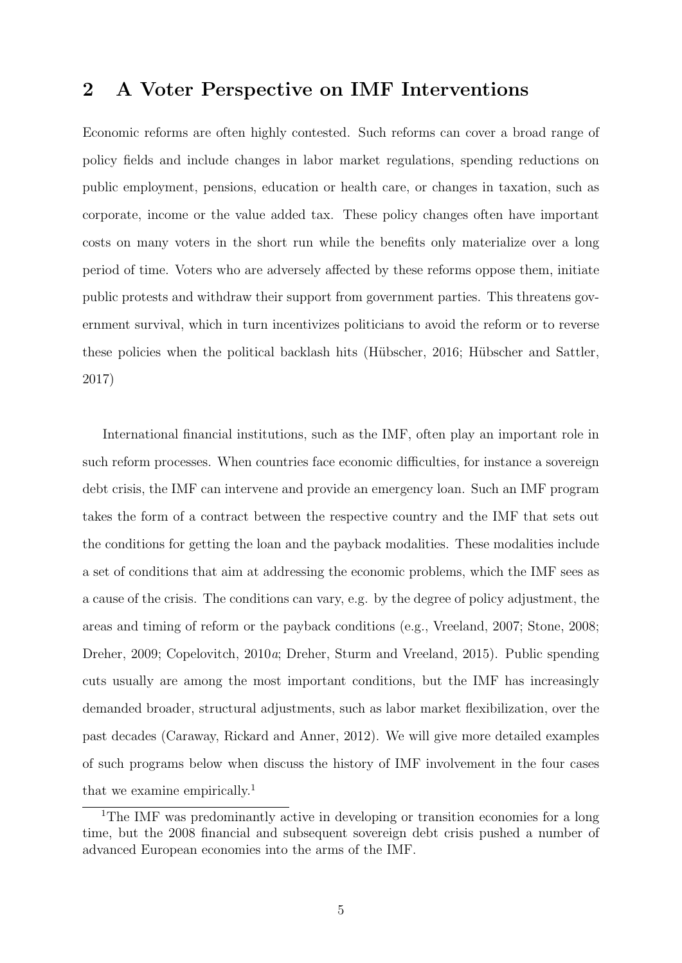### 2 A Voter Perspective on IMF Interventions

Economic reforms are often highly contested. Such reforms can cover a broad range of policy fields and include changes in labor market regulations, spending reductions on public employment, pensions, education or health care, or changes in taxation, such as corporate, income or the value added tax. These policy changes often have important costs on many voters in the short run while the benefits only materialize over a long period of time. Voters who are adversely affected by these reforms oppose them, initiate public protests and withdraw their support from government parties. This threatens government survival, which in turn incentivizes politicians to avoid the reform or to reverse these policies when the political backlash hits (Hübscher, [2016;](#page-31-4) Hübscher and Sattler, [2017\)](#page-31-5)

International financial institutions, such as the IMF, often play an important role in such reform processes. When countries face economic difficulties, for instance a sovereign debt crisis, the IMF can intervene and provide an emergency loan. Such an IMF program takes the form of a contract between the respective country and the IMF that sets out the conditions for getting the loan and the payback modalities. These modalities include a set of conditions that aim at addressing the economic problems, which the IMF sees as a cause of the crisis. The conditions can vary, e.g. by the degree of policy adjustment, the areas and timing of reform or the payback conditions (e.g., [Vreeland,](#page-33-7) [2007;](#page-33-7) [Stone,](#page-33-6) [2008;](#page-33-6) [Dreher,](#page-30-2) [2009;](#page-30-2) [Copelovitch,](#page-30-0) [2010](#page-30-0)a; [Dreher, Sturm and Vreeland,](#page-30-3) [2015\)](#page-30-3). Public spending cuts usually are among the most important conditions, but the IMF has increasingly demanded broader, structural adjustments, such as labor market flexibilization, over the past decades [\(Caraway, Rickard and Anner,](#page-30-4) [2012\)](#page-30-4). We will give more detailed examples of such programs below when discuss the history of IMF involvement in the four cases that we examine empirically.[1](#page-0-0)

<sup>&</sup>lt;sup>1</sup>The IMF was predominantly active in developing or transition economies for a long time, but the 2008 financial and subsequent sovereign debt crisis pushed a number of advanced European economies into the arms of the IMF.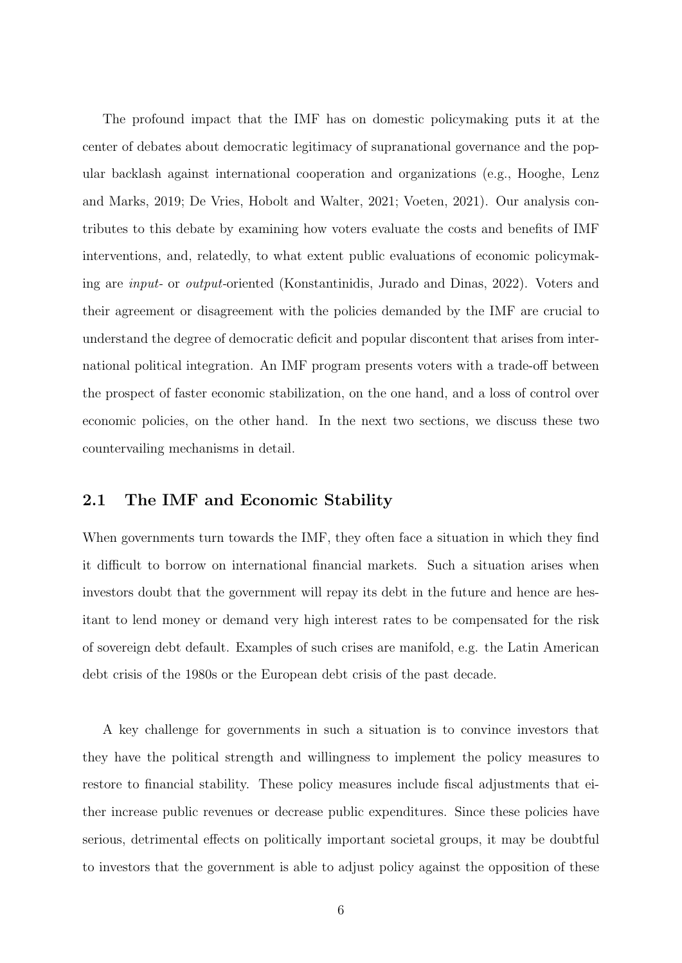The profound impact that the IMF has on domestic policymaking puts it at the center of debates about democratic legitimacy of supranational governance and the popular backlash against international cooperation and organizations (e.g., [Hooghe, Lenz](#page-31-6) [and Marks,](#page-31-6) [2019;](#page-31-6) [De Vries, Hobolt and Walter,](#page-30-5) [2021;](#page-30-5) [Voeten,](#page-33-8) [2021\)](#page-33-8). Our analysis contributes to this debate by examining how voters evaluate the costs and benefits of IMF interventions, and, relatedly, to what extent public evaluations of economic policymaking are input- or output-oriented [\(Konstantinidis, Jurado and Dinas,](#page-32-1) [2022\)](#page-32-1). Voters and their agreement or disagreement with the policies demanded by the IMF are crucial to understand the degree of democratic deficit and popular discontent that arises from international political integration. An IMF program presents voters with a trade-off between the prospect of faster economic stabilization, on the one hand, and a loss of control over economic policies, on the other hand. In the next two sections, we discuss these two countervailing mechanisms in detail.

#### 2.1 The IMF and Economic Stability

When governments turn towards the IMF, they often face a situation in which they find it difficult to borrow on international financial markets. Such a situation arises when investors doubt that the government will repay its debt in the future and hence are hesitant to lend money or demand very high interest rates to be compensated for the risk of sovereign debt default. Examples of such crises are manifold, e.g. the Latin American debt crisis of the 1980s or the European debt crisis of the past decade.

A key challenge for governments in such a situation is to convince investors that they have the political strength and willingness to implement the policy measures to restore to financial stability. These policy measures include fiscal adjustments that either increase public revenues or decrease public expenditures. Since these policies have serious, detrimental effects on politically important societal groups, it may be doubtful to investors that the government is able to adjust policy against the opposition of these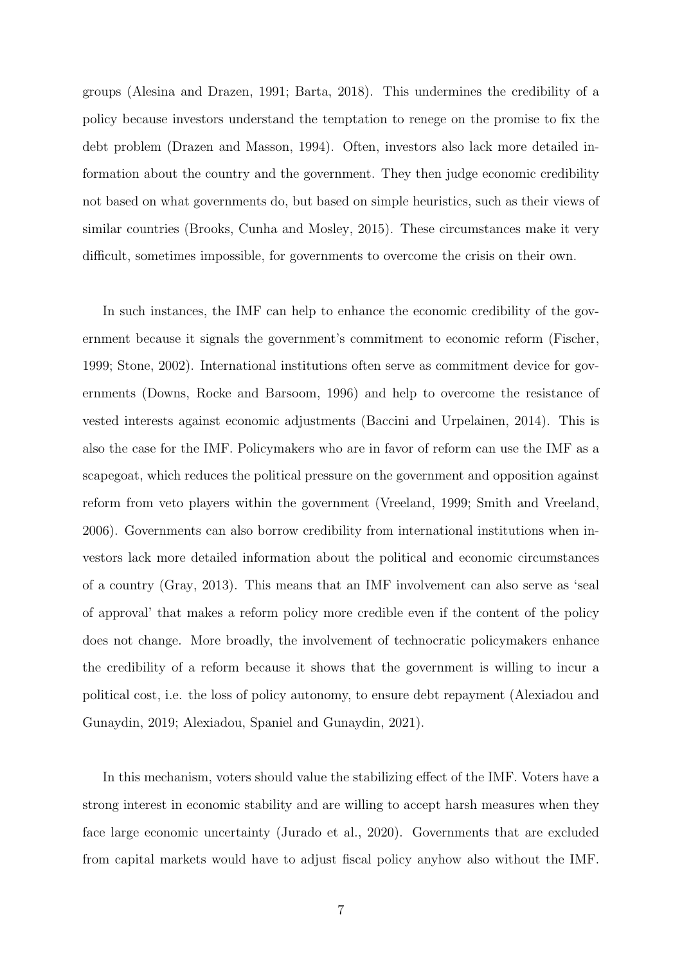groups [\(Alesina and Drazen,](#page-28-2) [1991;](#page-28-2) [Barta,](#page-28-3) [2018\)](#page-28-3). This undermines the credibility of a policy because investors understand the temptation to renege on the promise to fix the debt problem [\(Drazen and Masson,](#page-30-6) [1994\)](#page-30-6). Often, investors also lack more detailed information about the country and the government. They then judge economic credibility not based on what governments do, but based on simple heuristics, such as their views of similar countries [\(Brooks, Cunha and Mosley,](#page-29-4) [2015\)](#page-29-4). These circumstances make it very difficult, sometimes impossible, for governments to overcome the crisis on their own.

In such instances, the IMF can help to enhance the economic credibility of the government because it signals the government's commitment to economic reform [\(Fischer,](#page-31-7) [1999;](#page-31-7) [Stone,](#page-33-2) [2002\)](#page-33-2). International institutions often serve as commitment device for governments [\(Downs, Rocke and Barsoom,](#page-30-7) [1996\)](#page-30-7) and help to overcome the resistance of vested interests against economic adjustments [\(Baccini and Urpelainen,](#page-28-4) [2014\)](#page-28-4). This is also the case for the IMF. Policymakers who are in favor of reform can use the IMF as a scapegoat, which reduces the political pressure on the government and opposition against reform from veto players within the government [\(Vreeland,](#page-33-0) [1999;](#page-33-0) [Smith and Vreeland,](#page-33-1) [2006\)](#page-33-1). Governments can also borrow credibility from international institutions when investors lack more detailed information about the political and economic circumstances of a country [\(Gray,](#page-31-2) [2013\)](#page-31-2). This means that an IMF involvement can also serve as 'seal of approval' that makes a reform policy more credible even if the content of the policy does not change. More broadly, the involvement of technocratic policymakers enhance the credibility of a reform because it shows that the government is willing to incur a political cost, i.e. the loss of policy autonomy, to ensure debt repayment [\(Alexiadou and](#page-28-5) [Gunaydin,](#page-28-5) [2019;](#page-28-5) [Alexiadou, Spaniel and Gunaydin,](#page-28-0) [2021\)](#page-28-0).

In this mechanism, voters should value the stabilizing effect of the IMF. Voters have a strong interest in economic stability and are willing to accept harsh measures when they face large economic uncertainty [\(Jurado et al.,](#page-32-2) [2020\)](#page-32-2). Governments that are excluded from capital markets would have to adjust fiscal policy anyhow also without the IMF.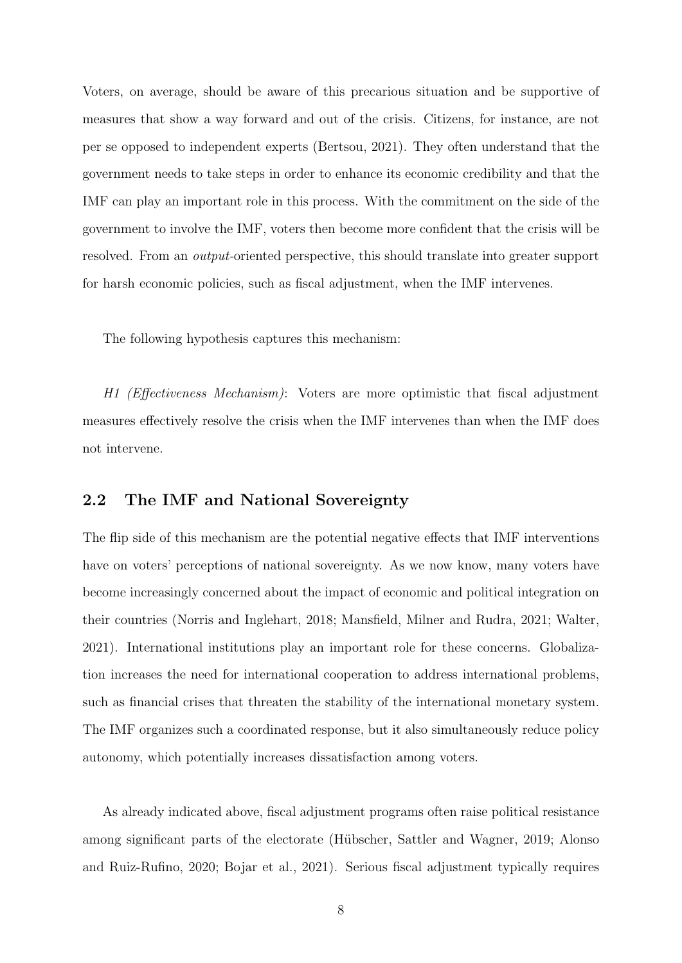Voters, on average, should be aware of this precarious situation and be supportive of measures that show a way forward and out of the crisis. Citizens, for instance, are not per se opposed to independent experts [\(Bertsou,](#page-29-5) [2021\)](#page-29-5). They often understand that the government needs to take steps in order to enhance its economic credibility and that the IMF can play an important role in this process. With the commitment on the side of the government to involve the IMF, voters then become more confident that the crisis will be resolved. From an output-oriented perspective, this should translate into greater support for harsh economic policies, such as fiscal adjustment, when the IMF intervenes.

The following hypothesis captures this mechanism:

H1 (Effectiveness Mechanism): Voters are more optimistic that fiscal adjustment measures effectively resolve the crisis when the IMF intervenes than when the IMF does not intervene.

#### 2.2 The IMF and National Sovereignty

The flip side of this mechanism are the potential negative effects that IMF interventions have on voters' perceptions of national sovereignty. As we now know, many voters have become increasingly concerned about the impact of economic and political integration on their countries [\(Norris and Inglehart,](#page-32-3) [2018;](#page-32-3) [Mansfield, Milner and Rudra,](#page-32-4) [2021;](#page-32-4) [Walter,](#page-34-0) [2021\)](#page-34-0). International institutions play an important role for these concerns. Globalization increases the need for international cooperation to address international problems, such as financial crises that threaten the stability of the international monetary system. The IMF organizes such a coordinated response, but it also simultaneously reduce policy autonomy, which potentially increases dissatisfaction among voters.

As already indicated above, fiscal adjustment programs often raise political resistance among significant parts of the electorate (Hübscher, Sattler and Wagner, [2019;](#page-31-8) [Alonso](#page-28-1) [and Ruiz-Rufino,](#page-28-1) [2020;](#page-28-1) [Bojar et al.,](#page-29-0) [2021\)](#page-29-0). Serious fiscal adjustment typically requires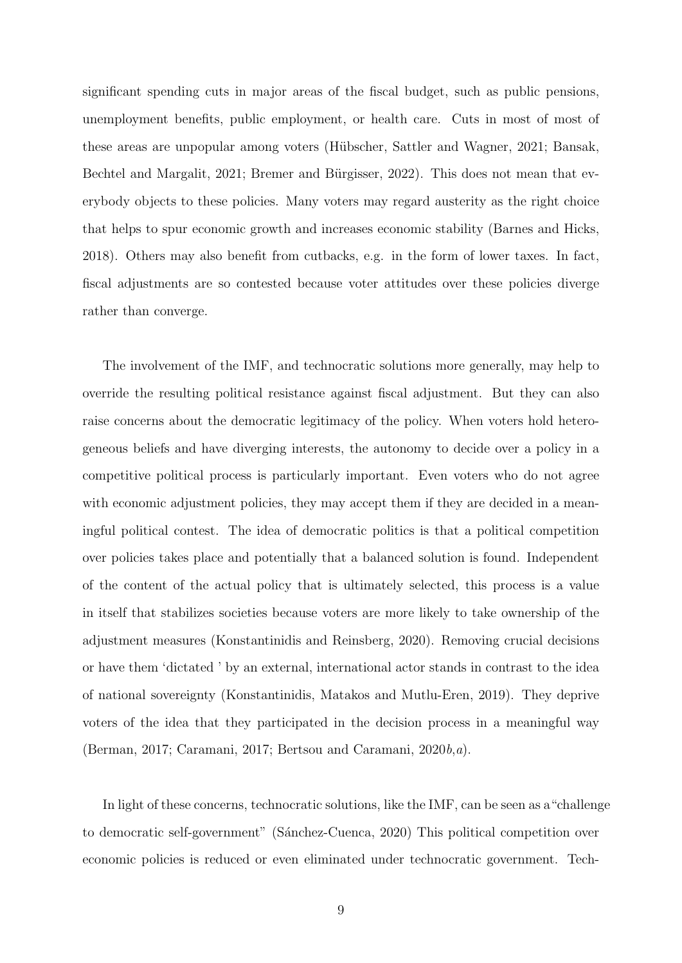significant spending cuts in major areas of the fiscal budget, such as public pensions, unemployment benefits, public employment, or health care. Cuts in most of most of these areas are unpopular among voters (Hübscher, Sattler and Wagner, [2021;](#page-31-1) [Bansak,](#page-28-6) [Bechtel and Margalit,](#page-28-6) [2021;](#page-28-6) Bremer and Bürgisser, [2022\)](#page-29-6). This does not mean that everybody objects to these policies. Many voters may regard austerity as the right choice that helps to spur economic growth and increases economic stability [\(Barnes and Hicks,](#page-28-7) [2018\)](#page-28-7). Others may also benefit from cutbacks, e.g. in the form of lower taxes. In fact, fiscal adjustments are so contested because voter attitudes over these policies diverge rather than converge.

The involvement of the IMF, and technocratic solutions more generally, may help to override the resulting political resistance against fiscal adjustment. But they can also raise concerns about the democratic legitimacy of the policy. When voters hold heterogeneous beliefs and have diverging interests, the autonomy to decide over a policy in a competitive political process is particularly important. Even voters who do not agree with economic adjustment policies, they may accept them if they are decided in a meaningful political contest. The idea of democratic politics is that a political competition over policies takes place and potentially that a balanced solution is found. Independent of the content of the actual policy that is ultimately selected, this process is a value in itself that stabilizes societies because voters are more likely to take ownership of the adjustment measures [\(Konstantinidis and Reinsberg,](#page-32-5) [2020\)](#page-32-5). Removing crucial decisions or have them 'dictated ' by an external, international actor stands in contrast to the idea of national sovereignty [\(Konstantinidis, Matakos and Mutlu-Eren,](#page-32-6) [2019\)](#page-32-6). They deprive voters of the idea that they participated in the decision process in a meaningful way [\(Berman,](#page-29-1) [2017;](#page-29-1) [Caramani,](#page-29-2) [2017;](#page-29-2) [Bertsou and Caramani,](#page-29-7) [2020](#page-29-7)b,[a](#page-29-3)).

In light of these concerns, technocratic solutions, like the IMF, can be seen as a"challenge to democratic self-government" (Sánchez-Cuenca, [2020\)](#page-33-9) This political competition over economic policies is reduced or even eliminated under technocratic government. Tech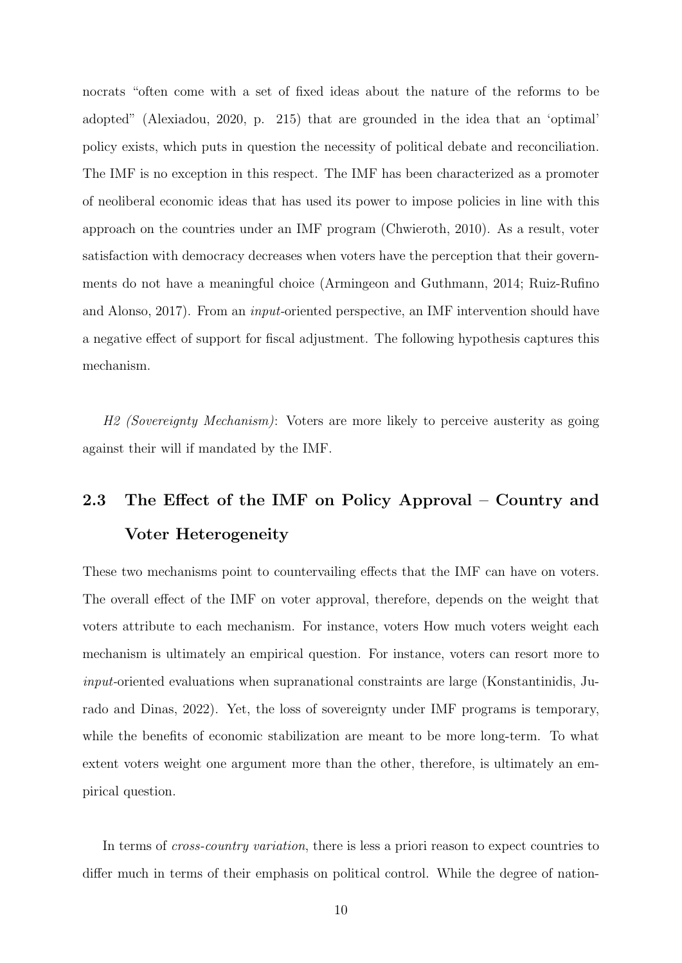nocrats "often come with a set of fixed ideas about the nature of the reforms to be adopted" [\(Alexiadou,](#page-28-8) [2020,](#page-28-8) p. 215) that are grounded in the idea that an 'optimal' policy exists, which puts in question the necessity of political debate and reconciliation. The IMF is no exception in this respect. The IMF has been characterized as a promoter of neoliberal economic ideas that has used its power to impose policies in line with this approach on the countries under an IMF program [\(Chwieroth,](#page-30-8) [2010\)](#page-30-8). As a result, voter satisfaction with democracy decreases when voters have the perception that their governments do not have a meaningful choice [\(Armingeon and Guthmann,](#page-28-9) [2014;](#page-28-9) [Ruiz-Rufino](#page-33-3) [and Alonso,](#page-33-3) [2017\)](#page-33-3). From an input-oriented perspective, an IMF intervention should have a negative effect of support for fiscal adjustment. The following hypothesis captures this mechanism.

H2 (Sovereignty Mechanism): Voters are more likely to perceive austerity as going against their will if mandated by the IMF.

## 2.3 The Effect of the IMF on Policy Approval – Country and Voter Heterogeneity

These two mechanisms point to countervailing effects that the IMF can have on voters. The overall effect of the IMF on voter approval, therefore, depends on the weight that voters attribute to each mechanism. For instance, voters How much voters weight each mechanism is ultimately an empirical question. For instance, voters can resort more to input-oriented evaluations when supranational constraints are large [\(Konstantinidis, Ju](#page-32-1)[rado and Dinas,](#page-32-1) [2022\)](#page-32-1). Yet, the loss of sovereignty under IMF programs is temporary, while the benefits of economic stabilization are meant to be more long-term. To what extent voters weight one argument more than the other, therefore, is ultimately an empirical question.

In terms of *cross-country variation*, there is less a priori reason to expect countries to differ much in terms of their emphasis on political control. While the degree of nation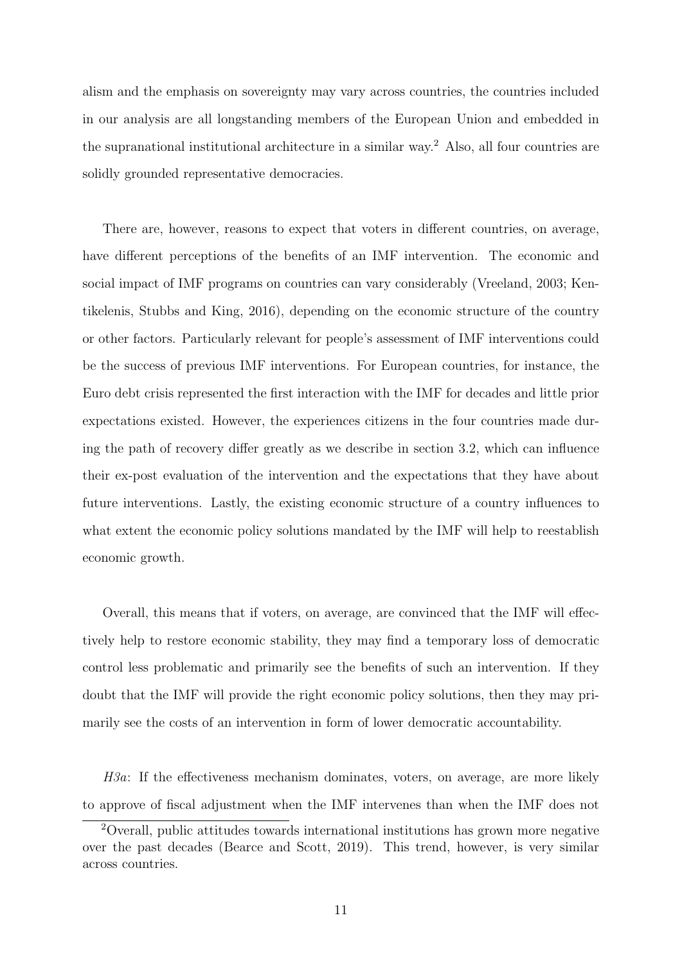alism and the emphasis on sovereignty may vary across countries, the countries included in our analysis are all longstanding members of the European Union and embedded in the supranational institutional architecture in a similar way.[2](#page-0-0) Also, all four countries are solidly grounded representative democracies.

There are, however, reasons to expect that voters in different countries, on average, have different perceptions of the benefits of an IMF intervention. The economic and social impact of IMF programs on countries can vary considerably [\(Vreeland,](#page-33-5) [2003;](#page-33-5) [Ken](#page-32-7)[tikelenis, Stubbs and King,](#page-32-7) [2016\)](#page-32-7), depending on the economic structure of the country or other factors. Particularly relevant for people's assessment of IMF interventions could be the success of previous IMF interventions. For European countries, for instance, the Euro debt crisis represented the first interaction with the IMF for decades and little prior expectations existed. However, the experiences citizens in the four countries made during the path of recovery differ greatly as we describe in section [3.2,](#page-15-0) which can influence their ex-post evaluation of the intervention and the expectations that they have about future interventions. Lastly, the existing economic structure of a country influences to what extent the economic policy solutions mandated by the IMF will help to reestablish economic growth.

Overall, this means that if voters, on average, are convinced that the IMF will effectively help to restore economic stability, they may find a temporary loss of democratic control less problematic and primarily see the benefits of such an intervention. If they doubt that the IMF will provide the right economic policy solutions, then they may primarily see the costs of an intervention in form of lower democratic accountability.

H3a: If the effectiveness mechanism dominates, voters, on average, are more likely to approve of fiscal adjustment when the IMF intervenes than when the IMF does not

<sup>2</sup>Overall, public attitudes towards international institutions has grown more negative over the past decades [\(Bearce and Scott,](#page-29-8) [2019\)](#page-29-8). This trend, however, is very similar across countries.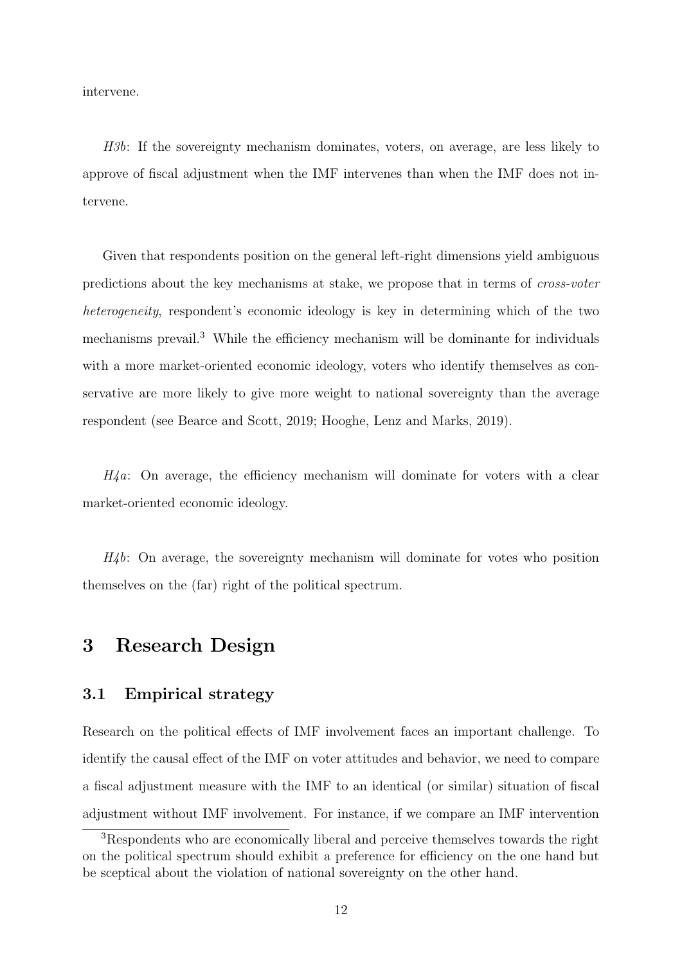intervene.

H3b: If the sovereignty mechanism dominates, voters, on average, are less likely to approve of fiscal adjustment when the IMF intervenes than when the IMF does not intervene.

Given that respondents position on the general left-right dimensions yield ambiguous predictions about the key mechanisms at stake, we propose that in terms of cross-voter heterogeneity, respondent's economic ideology is key in determining which of the two mechanisms prevail.<sup>[3](#page-0-0)</sup> While the efficiency mechanism will be dominante for individuals with a more market-oriented economic ideology, voters who identify themselves as conservative are more likely to give more weight to national sovereignty than the average respondent (see [Bearce and Scott,](#page-29-8) [2019;](#page-29-8) [Hooghe, Lenz and Marks,](#page-31-6) [2019\)](#page-31-6).

 $H_4a$ : On average, the efficiency mechanism will dominate for voters with a clear market-oriented economic ideology.

 $H_4b$ : On average, the sovereignty mechanism will dominate for votes who position themselves on the (far) right of the political spectrum.

### 3 Research Design

#### 3.1 Empirical strategy

Research on the political effects of IMF involvement faces an important challenge. To identify the causal effect of the IMF on voter attitudes and behavior, we need to compare a fiscal adjustment measure with the IMF to an identical (or similar) situation of fiscal adjustment without IMF involvement. For instance, if we compare an IMF intervention

<sup>3</sup>Respondents who are economically liberal and perceive themselves towards the right on the political spectrum should exhibit a preference for efficiency on the one hand but be sceptical about the violation of national sovereignty on the other hand.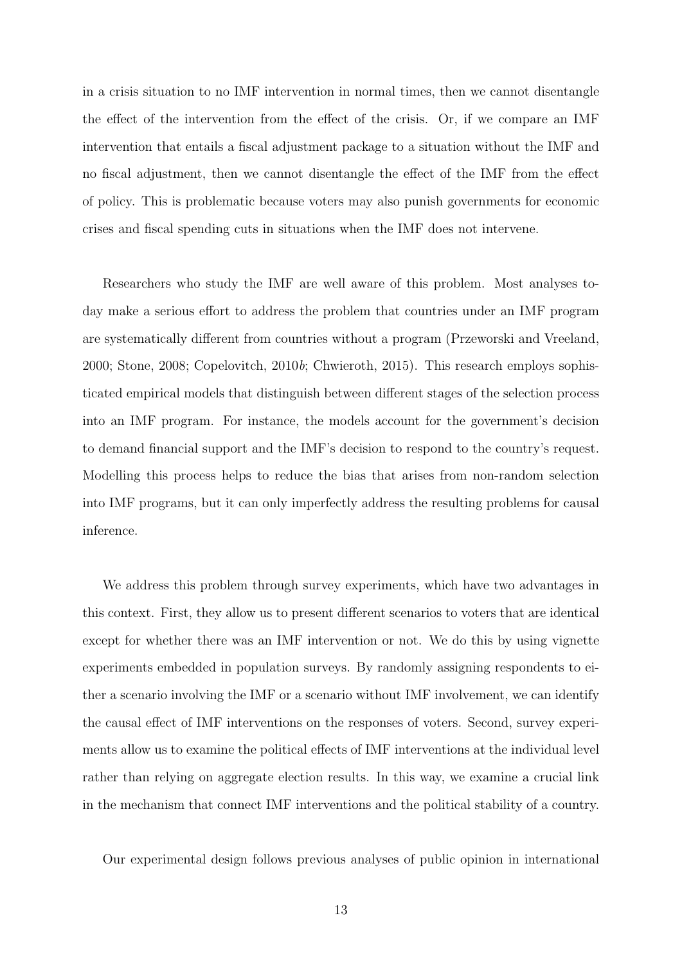in a crisis situation to no IMF intervention in normal times, then we cannot disentangle the effect of the intervention from the effect of the crisis. Or, if we compare an IMF intervention that entails a fiscal adjustment package to a situation without the IMF and no fiscal adjustment, then we cannot disentangle the effect of the IMF from the effect of policy. This is problematic because voters may also punish governments for economic crises and fiscal spending cuts in situations when the IMF does not intervene.

Researchers who study the IMF are well aware of this problem. Most analyses today make a serious effort to address the problem that countries under an IMF program are systematically different from countries without a program [\(Przeworski and Vreeland,](#page-32-0) [2000;](#page-32-0) [Stone,](#page-33-6) [2008;](#page-33-6) [Copelovitch,](#page-30-9) [2010](#page-30-9)b; [Chwieroth,](#page-30-1) [2015\)](#page-30-1). This research employs sophisticated empirical models that distinguish between different stages of the selection process into an IMF program. For instance, the models account for the government's decision to demand financial support and the IMF's decision to respond to the country's request. Modelling this process helps to reduce the bias that arises from non-random selection into IMF programs, but it can only imperfectly address the resulting problems for causal inference.

We address this problem through survey experiments, which have two advantages in this context. First, they allow us to present different scenarios to voters that are identical except for whether there was an IMF intervention or not. We do this by using vignette experiments embedded in population surveys. By randomly assigning respondents to either a scenario involving the IMF or a scenario without IMF involvement, we can identify the causal effect of IMF interventions on the responses of voters. Second, survey experiments allow us to examine the political effects of IMF interventions at the individual level rather than relying on aggregate election results. In this way, we examine a crucial link in the mechanism that connect IMF interventions and the political stability of a country.

Our experimental design follows previous analyses of public opinion in international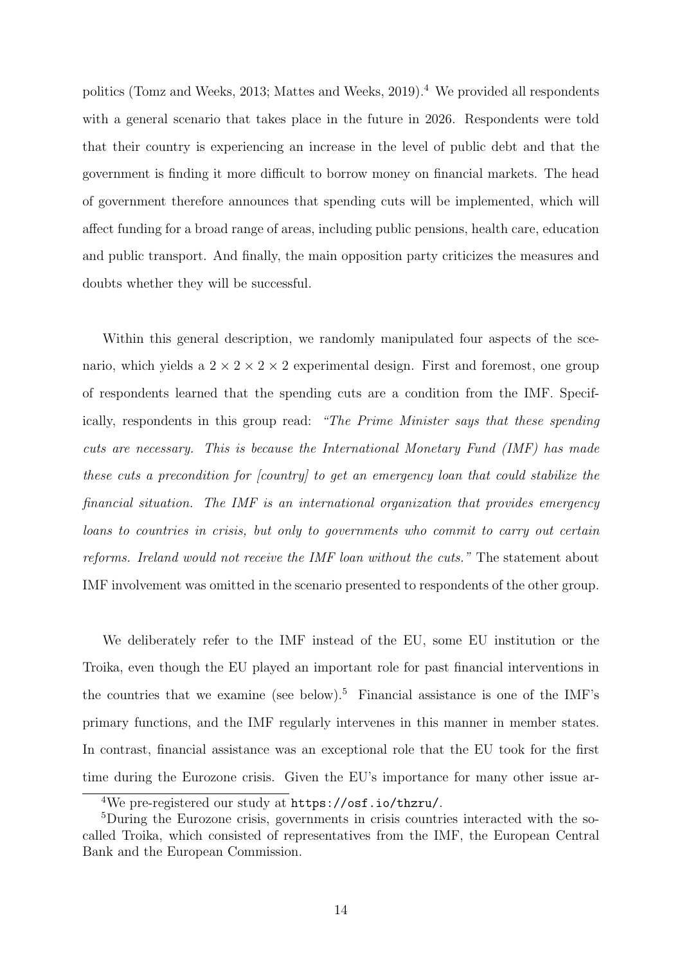politics [\(Tomz and Weeks,](#page-33-10) [2013;](#page-33-10) [Mattes and Weeks,](#page-32-8)  $2019$ ).<sup>[4](#page-0-0)</sup> We provided all respondents with a general scenario that takes place in the future in 2026. Respondents were told that their country is experiencing an increase in the level of public debt and that the government is finding it more difficult to borrow money on financial markets. The head of government therefore announces that spending cuts will be implemented, which will affect funding for a broad range of areas, including public pensions, health care, education and public transport. And finally, the main opposition party criticizes the measures and doubts whether they will be successful.

Within this general description, we randomly manipulated four aspects of the scenario, which yields a  $2 \times 2 \times 2 \times 2$  experimental design. First and foremost, one group of respondents learned that the spending cuts are a condition from the IMF. Specifically, respondents in this group read: "The Prime Minister says that these spending cuts are necessary. This is because the International Monetary Fund (IMF) has made these cuts a precondition for [country] to get an emergency loan that could stabilize the financial situation. The IMF is an international organization that provides emergency loans to countries in crisis, but only to governments who commit to carry out certain reforms. Ireland would not receive the IMF loan without the cuts." The statement about IMF involvement was omitted in the scenario presented to respondents of the other group.

We deliberately refer to the IMF instead of the EU, some EU institution or the Troika, even though the EU played an important role for past financial interventions in the countries that we examine (see below).<sup>[5](#page-0-0)</sup> Financial assistance is one of the IMF's primary functions, and the IMF regularly intervenes in this manner in member states. In contrast, financial assistance was an exceptional role that the EU took for the first time during the Eurozone crisis. Given the EU's importance for many other issue ar-

<sup>4</sup>We pre-registered our study at <https://osf.io/thzru/>.

<sup>5</sup>During the Eurozone crisis, governments in crisis countries interacted with the socalled Troika, which consisted of representatives from the IMF, the European Central Bank and the European Commission.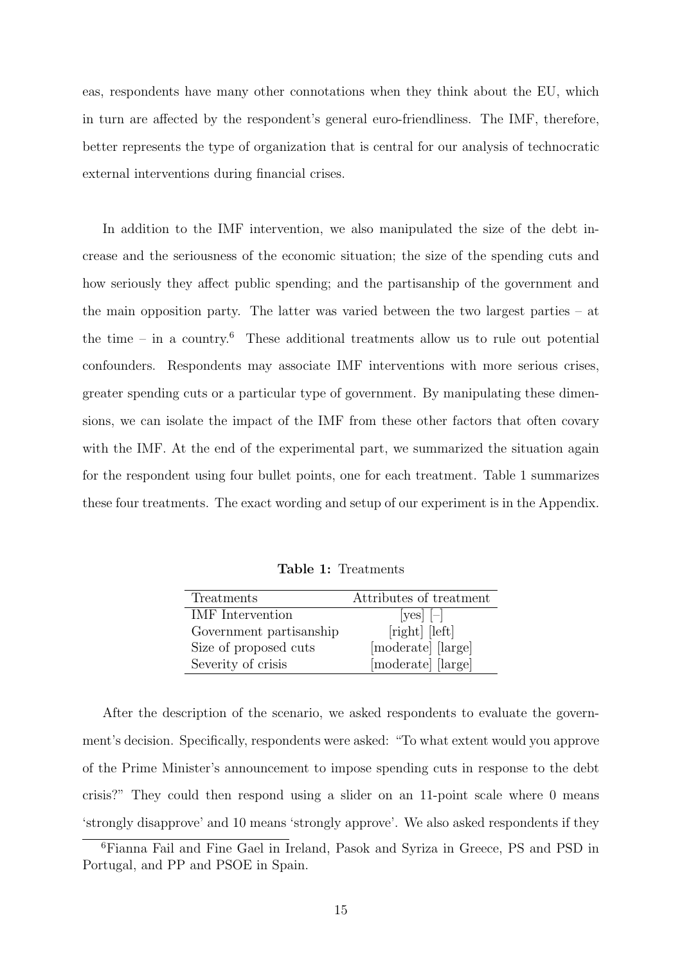eas, respondents have many other connotations when they think about the EU, which in turn are affected by the respondent's general euro-friendliness. The IMF, therefore, better represents the type of organization that is central for our analysis of technocratic external interventions during financial crises.

In addition to the IMF intervention, we also manipulated the size of the debt increase and the seriousness of the economic situation; the size of the spending cuts and how seriously they affect public spending; and the partisanship of the government and the main opposition party. The latter was varied between the two largest parties – at the time – in a country.<sup>[6](#page-0-0)</sup> These additional treatments allow us to rule out potential confounders. Respondents may associate IMF interventions with more serious crises, greater spending cuts or a particular type of government. By manipulating these dimensions, we can isolate the impact of the IMF from these other factors that often covary with the IMF. At the end of the experimental part, we summarized the situation again for the respondent using four bullet points, one for each treatment. Table [1](#page-14-0) summarizes these four treatments. The exact wording and setup of our experiment is in the Appendix.

Table 1: Treatments

<span id="page-14-0"></span>

| Treatments              | Attributes of treatment |  |  |
|-------------------------|-------------------------|--|--|
| <b>IMF</b> Intervention | $ yes $  -              |  |  |
| Government partisanship | [right] [left]          |  |  |
| Size of proposed cuts   | [moderate] [large]      |  |  |
| Severity of crisis      | [moderate] [large]      |  |  |

After the description of the scenario, we asked respondents to evaluate the government's decision. Specifically, respondents were asked: "To what extent would you approve of the Prime Minister's announcement to impose spending cuts in response to the debt crisis?" They could then respond using a slider on an 11-point scale where 0 means 'strongly disapprove' and 10 means 'strongly approve'. We also asked respondents if they

<sup>6</sup>Fianna Fail and Fine Gael in Ireland, Pasok and Syriza in Greece, PS and PSD in Portugal, and PP and PSOE in Spain.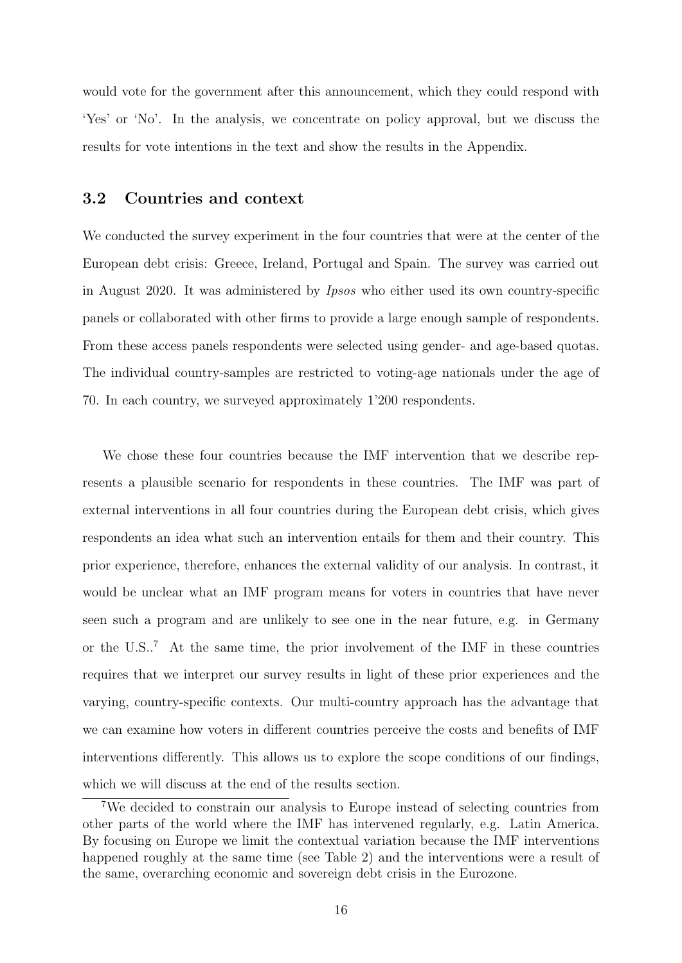would vote for the government after this announcement, which they could respond with 'Yes' or 'No'. In the analysis, we concentrate on policy approval, but we discuss the results for vote intentions in the text and show the results in the Appendix.

#### <span id="page-15-0"></span>3.2 Countries and context

We conducted the survey experiment in the four countries that were at the center of the European debt crisis: Greece, Ireland, Portugal and Spain. The survey was carried out in August 2020. It was administered by Ipsos who either used its own country-specific panels or collaborated with other firms to provide a large enough sample of respondents. From these access panels respondents were selected using gender- and age-based quotas. The individual country-samples are restricted to voting-age nationals under the age of 70. In each country, we surveyed approximately 1'200 respondents.

We chose these four countries because the IMF intervention that we describe represents a plausible scenario for respondents in these countries. The IMF was part of external interventions in all four countries during the European debt crisis, which gives respondents an idea what such an intervention entails for them and their country. This prior experience, therefore, enhances the external validity of our analysis. In contrast, it would be unclear what an IMF program means for voters in countries that have never seen such a program and are unlikely to see one in the near future, e.g. in Germany or the U.S..[7](#page-0-0) At the same time, the prior involvement of the IMF in these countries requires that we interpret our survey results in light of these prior experiences and the varying, country-specific contexts. Our multi-country approach has the advantage that we can examine how voters in different countries perceive the costs and benefits of IMF interventions differently. This allows us to explore the scope conditions of our findings, which we will discuss at the end of the results section.

<sup>7</sup>We decided to constrain our analysis to Europe instead of selecting countries from other parts of the world where the IMF has intervened regularly, e.g. Latin America. By focusing on Europe we limit the contextual variation because the IMF interventions happened roughly at the same time (see [Table 2\)](#page-16-0) and the interventions were a result of the same, overarching economic and sovereign debt crisis in the Eurozone.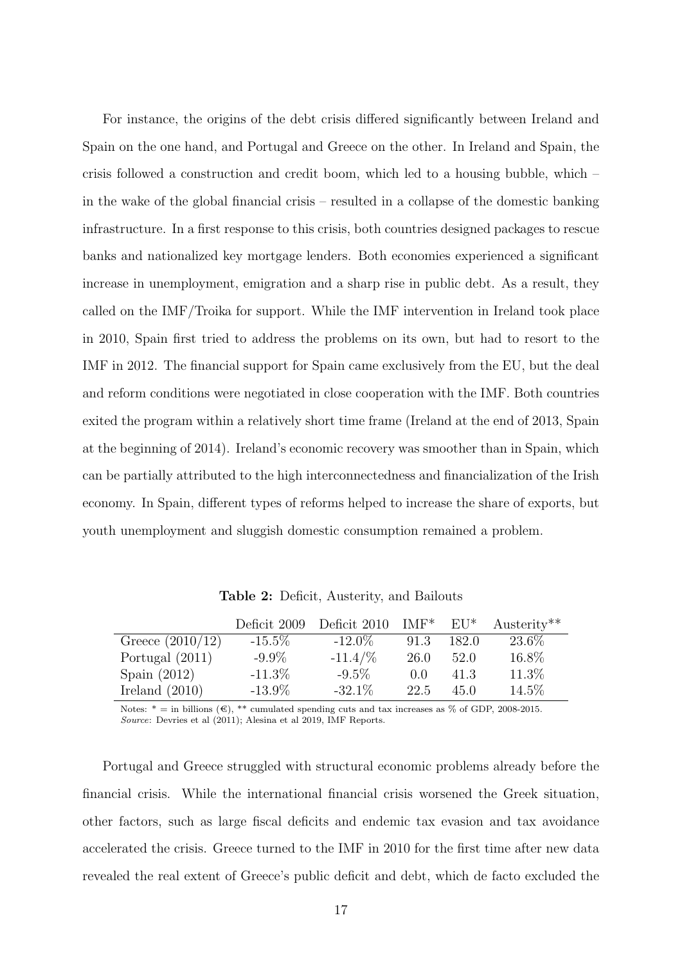For instance, the origins of the debt crisis differed significantly between Ireland and Spain on the one hand, and Portugal and Greece on the other. In Ireland and Spain, the crisis followed a construction and credit boom, which led to a housing bubble, which – in the wake of the global financial crisis – resulted in a collapse of the domestic banking infrastructure. In a first response to this crisis, both countries designed packages to rescue banks and nationalized key mortgage lenders. Both economies experienced a significant increase in unemployment, emigration and a sharp rise in public debt. As a result, they called on the IMF/Troika for support. While the IMF intervention in Ireland took place in 2010, Spain first tried to address the problems on its own, but had to resort to the IMF in 2012. The financial support for Spain came exclusively from the EU, but the deal and reform conditions were negotiated in close cooperation with the IMF. Both countries exited the program within a relatively short time frame (Ireland at the end of 2013, Spain at the beginning of 2014). Ireland's economic recovery was smoother than in Spain, which can be partially attributed to the high interconnectedness and financialization of the Irish economy. In Spain, different types of reforms helped to increase the share of exports, but youth unemployment and sluggish domestic consumption remained a problem.

<span id="page-16-0"></span>

|                    | Deficit 2009 | Deficit 2010 | $IMF^*$ | $E U^*$ | $Austerity**$ |
|--------------------|--------------|--------------|---------|---------|---------------|
| Greece $(2010/12)$ | $-15.5\%$    | $-12.0\%$    | 91.3    | 182.0   | 23.6\%        |
| Portugal $(2011)$  | $-9.9\%$     | $-11.4/\%$   | 26.0    | 52.0    | 16.8%         |
| Spain $(2012)$     | $-11.3\%$    | $-9.5\%$     | (0.0)   | 41.3    | 11.3%         |
| Ireland $(2010)$   | $-13.9\%$    | $-32.1\%$    | 22.5    | 45.0    | 14.5\%        |

Table 2: Deficit, Austerity, and Bailouts

Notes:  $* =$  in billions (€), \*\* cumulated spending cuts and tax increases as % of GDP, 2008-2015. Source: Devries et al (2011); Alesina et al 2019, IMF Reports.

Portugal and Greece struggled with structural economic problems already before the financial crisis. While the international financial crisis worsened the Greek situation, other factors, such as large fiscal deficits and endemic tax evasion and tax avoidance accelerated the crisis. Greece turned to the IMF in 2010 for the first time after new data revealed the real extent of Greece's public deficit and debt, which de facto excluded the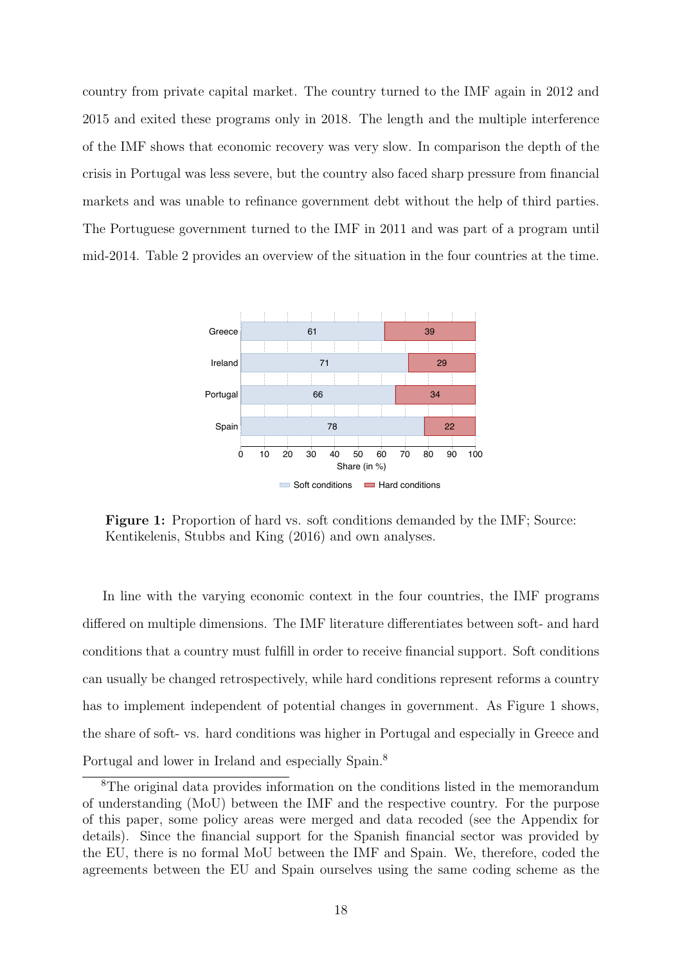country from private capital market. The country turned to the IMF again in 2012 and 2015 and exited these programs only in 2018. The length and the multiple interference of the IMF shows that economic recovery was very slow. In comparison the depth of the crisis in Portugal was less severe, but the country also faced sharp pressure from financial markets and was unable to refinance government debt without the help of third parties. The Portuguese government turned to the IMF in 2011 and was part of a program until mid-2014. [Table 2](#page-16-0) provides an overview of the situation in the four countries at the time.

<span id="page-17-0"></span>

Figure 1: Proportion of hard vs. soft conditions demanded by the IMF; Source: [Kentikelenis, Stubbs and King](#page-32-7) [\(2016\)](#page-32-7) and own analyses.

In line with the varying economic context in the four countries, the IMF programs differed on multiple dimensions. The IMF literature differentiates between soft- and hard conditions that a country must fulfill in order to receive financial support. Soft conditions can usually be changed retrospectively, while hard conditions represent reforms a country has to implement independent of potential changes in government. As Figure [1](#page-17-0) shows, the share of soft- vs. hard conditions was higher in Portugal and especially in Greece and Portugal and lower in Ireland and especially Spain.[8](#page-0-0)

<sup>8</sup>The original data provides information on the conditions listed in the memorandum of understanding (MoU) between the IMF and the respective country. For the purpose of this paper, some policy areas were merged and data recoded (see the Appendix for details). Since the financial support for the Spanish financial sector was provided by the EU, there is no formal MoU between the IMF and Spain. We, therefore, coded the agreements between the EU and Spain ourselves using the same coding scheme as the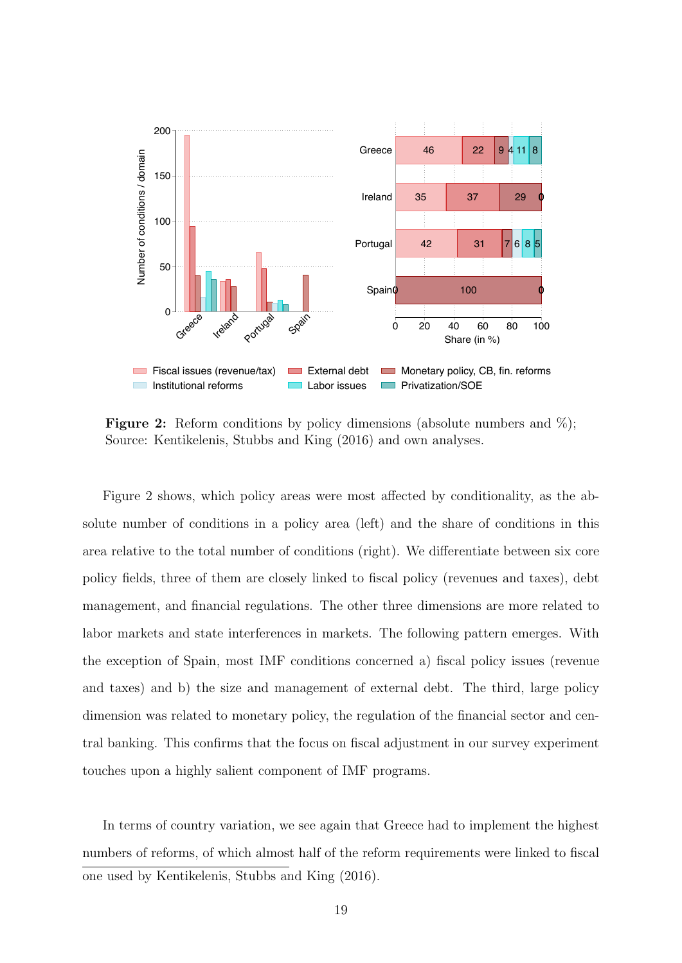<span id="page-18-0"></span>

**Figure 2:** Reform conditions by policy dimensions (absolute numbers and  $\%$ ); Source: [Kentikelenis, Stubbs and King](#page-32-7) [\(2016\)](#page-32-7) and own analyses.

[Figure 2](#page-18-0) shows, which policy areas were most affected by conditionality, as the absolute number of conditions in a policy area (left) and the share of conditions in this area relative to the total number of conditions (right). We differentiate between six core policy fields, three of them are closely linked to fiscal policy (revenues and taxes), debt management, and financial regulations. The other three dimensions are more related to labor markets and state interferences in markets. The following pattern emerges. With the exception of Spain, most IMF conditions concerned a) fiscal policy issues (revenue and taxes) and b) the size and management of external debt. The third, large policy dimension was related to monetary policy, the regulation of the financial sector and central banking. This confirms that the focus on fiscal adjustment in our survey experiment touches upon a highly salient component of IMF programs.

In terms of country variation, we see again that Greece had to implement the highest numbers of reforms, of which almost half of the reform requirements were linked to fiscal one used by [Kentikelenis, Stubbs and King](#page-32-7) [\(2016\)](#page-32-7).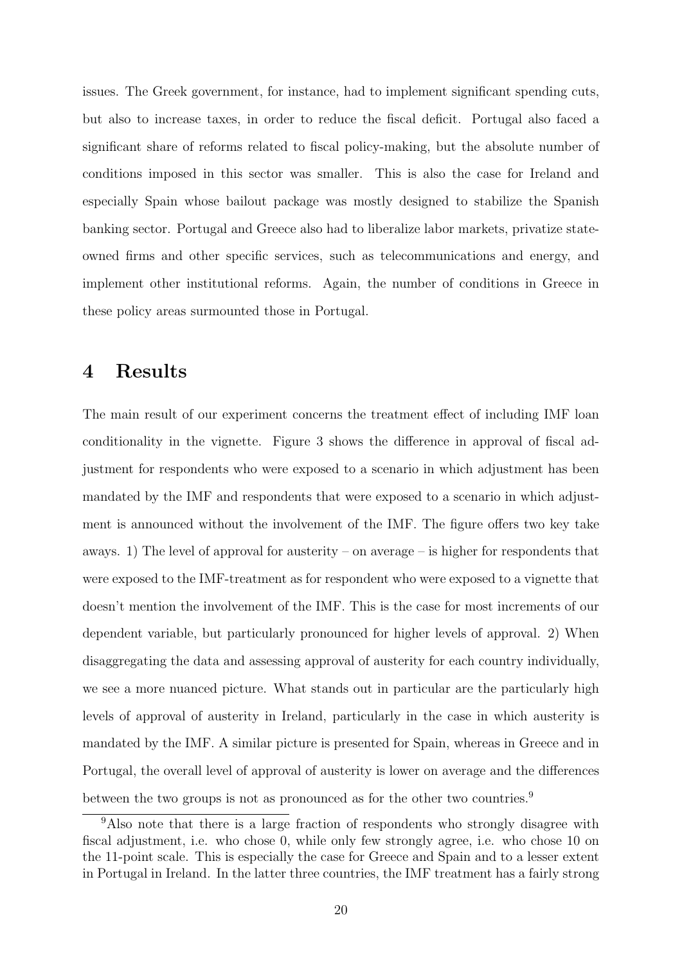issues. The Greek government, for instance, had to implement significant spending cuts, but also to increase taxes, in order to reduce the fiscal deficit. Portugal also faced a significant share of reforms related to fiscal policy-making, but the absolute number of conditions imposed in this sector was smaller. This is also the case for Ireland and especially Spain whose bailout package was mostly designed to stabilize the Spanish banking sector. Portugal and Greece also had to liberalize labor markets, privatize stateowned firms and other specific services, such as telecommunications and energy, and implement other institutional reforms. Again, the number of conditions in Greece in these policy areas surmounted those in Portugal.

### 4 Results

The main result of our experiment concerns the treatment effect of including IMF loan conditionality in the vignette. [Figure 3](#page-20-0) shows the difference in approval of fiscal adjustment for respondents who were exposed to a scenario in which adjustment has been mandated by the IMF and respondents that were exposed to a scenario in which adjustment is announced without the involvement of the IMF. The figure offers two key take aways. 1) The level of approval for austerity – on average – is higher for respondents that were exposed to the IMF-treatment as for respondent who were exposed to a vignette that doesn't mention the involvement of the IMF. This is the case for most increments of our dependent variable, but particularly pronounced for higher levels of approval. 2) When disaggregating the data and assessing approval of austerity for each country individually, we see a more nuanced picture. What stands out in particular are the particularly high levels of approval of austerity in Ireland, particularly in the case in which austerity is mandated by the IMF. A similar picture is presented for Spain, whereas in Greece and in Portugal, the overall level of approval of austerity is lower on average and the differences between the two groups is not as pronounced as for the other two countries.<sup>[9](#page-0-0)</sup>

<sup>&</sup>lt;sup>9</sup>Also note that there is a large fraction of respondents who strongly disagree with fiscal adjustment, i.e. who chose 0, while only few strongly agree, i.e. who chose 10 on the 11-point scale. This is especially the case for Greece and Spain and to a lesser extent in Portugal in Ireland. In the latter three countries, the IMF treatment has a fairly strong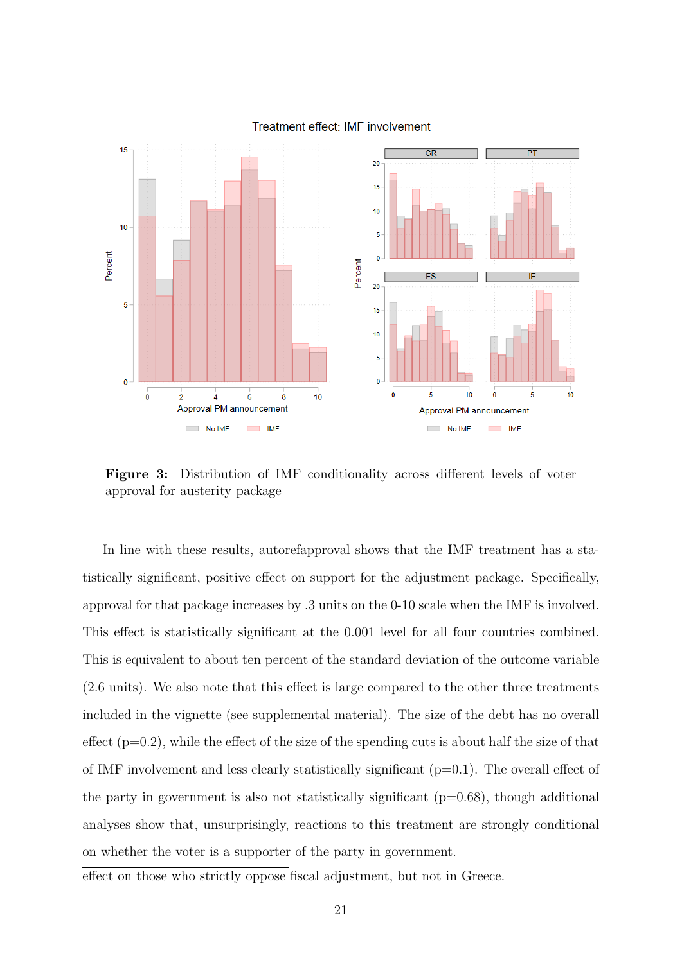<span id="page-20-0"></span>

#### Treatment effect: IMF involvement

Figure 3: Distribution of IMF conditionality across different levels of voter approval for austerity package

In line with these results, autorefapproval shows that the IMF treatment has a statistically significant, positive effect on support for the adjustment package. Specifically, approval for that package increases by .3 units on the 0-10 scale when the IMF is involved. This effect is statistically significant at the 0.001 level for all four countries combined. This is equivalent to about ten percent of the standard deviation of the outcome variable (2.6 units). We also note that this effect is large compared to the other three treatments included in the vignette (see supplemental material). The size of the debt has no overall effect  $(p=0.2)$ , while the effect of the size of the spending cuts is about half the size of that of IMF involvement and less clearly statistically significant  $(p=0.1)$ . The overall effect of the party in government is also not statistically significant  $(p=0.68)$ , though additional analyses show that, unsurprisingly, reactions to this treatment are strongly conditional on whether the voter is a supporter of the party in government.

effect on those who strictly oppose fiscal adjustment, but not in Greece.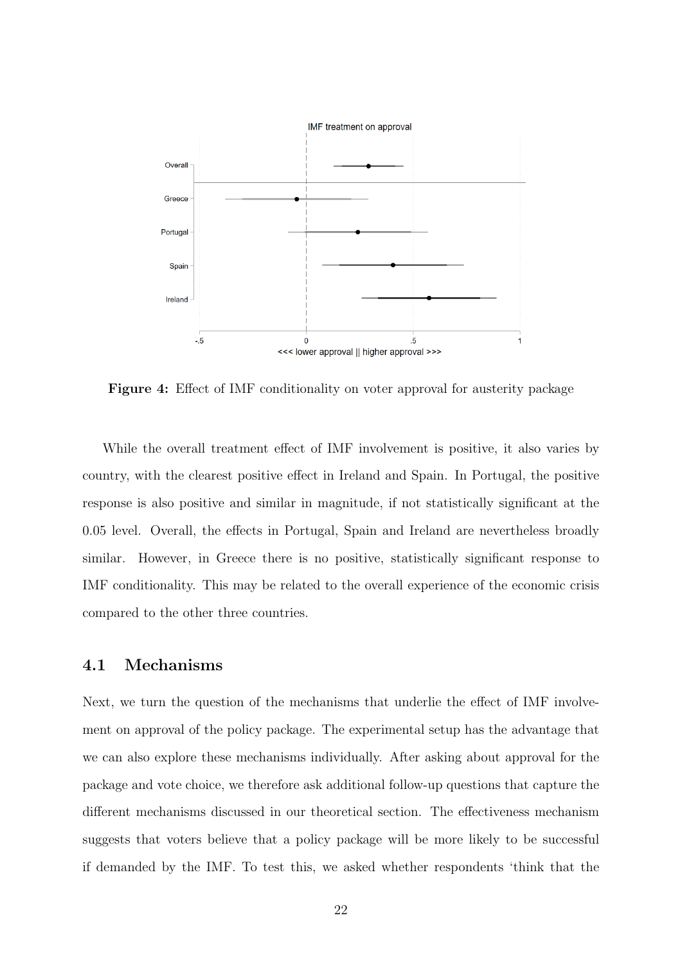

Figure 4: Effect of IMF conditionality on voter approval for austerity package

While the overall treatment effect of IMF involvement is positive, it also varies by country, with the clearest positive effect in Ireland and Spain. In Portugal, the positive response is also positive and similar in magnitude, if not statistically significant at the 0.05 level. Overall, the effects in Portugal, Spain and Ireland are nevertheless broadly similar. However, in Greece there is no positive, statistically significant response to IMF conditionality. This may be related to the overall experience of the economic crisis compared to the other three countries.

#### 4.1 Mechanisms

Next, we turn the question of the mechanisms that underlie the effect of IMF involvement on approval of the policy package. The experimental setup has the advantage that we can also explore these mechanisms individually. After asking about approval for the package and vote choice, we therefore ask additional follow-up questions that capture the different mechanisms discussed in our theoretical section. The effectiveness mechanism suggests that voters believe that a policy package will be more likely to be successful if demanded by the IMF. To test this, we asked whether respondents 'think that the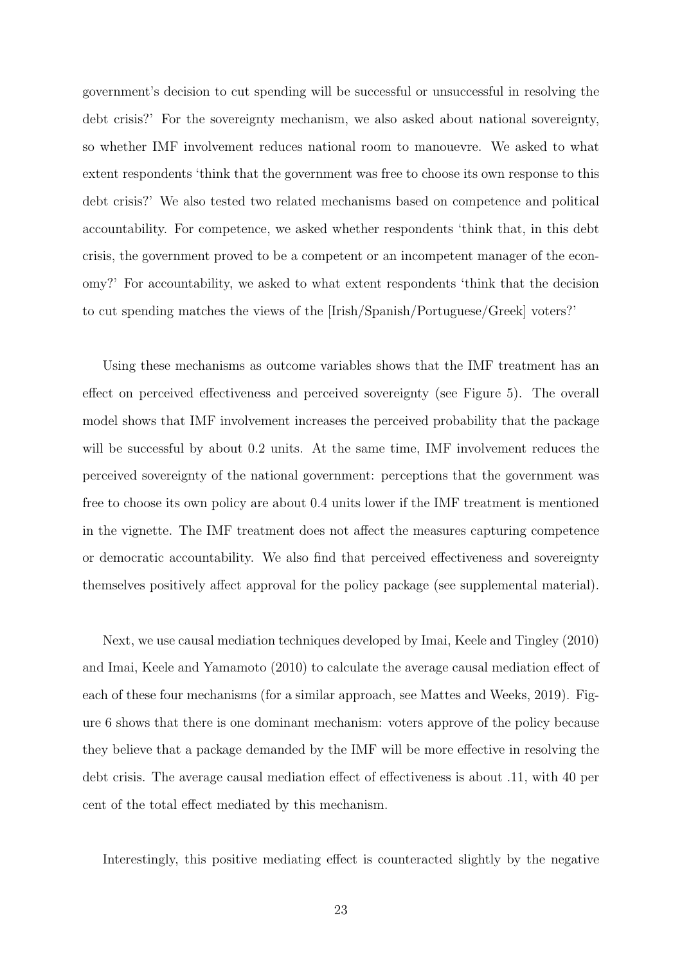government's decision to cut spending will be successful or unsuccessful in resolving the debt crisis?' For the sovereignty mechanism, we also asked about national sovereignty, so whether IMF involvement reduces national room to manouevre. We asked to what extent respondents 'think that the government was free to choose its own response to this debt crisis?' We also tested two related mechanisms based on competence and political accountability. For competence, we asked whether respondents 'think that, in this debt crisis, the government proved to be a competent or an incompetent manager of the economy?' For accountability, we asked to what extent respondents 'think that the decision to cut spending matches the views of the [Irish/Spanish/Portuguese/Greek] voters?'

Using these mechanisms as outcome variables shows that the IMF treatment has an effect on perceived effectiveness and perceived sovereignty (see [Figure 5\)](#page-23-0). The overall model shows that IMF involvement increases the perceived probability that the package will be successful by about 0.2 units. At the same time, IMF involvement reduces the perceived sovereignty of the national government: perceptions that the government was free to choose its own policy are about 0.4 units lower if the IMF treatment is mentioned in the vignette. The IMF treatment does not affect the measures capturing competence or democratic accountability. We also find that perceived effectiveness and sovereignty themselves positively affect approval for the policy package (see supplemental material).

Next, we use causal mediation techniques developed by [Imai, Keele and Tingley](#page-31-9) [\(2010\)](#page-31-9) and [Imai, Keele and Yamamoto](#page-32-9) [\(2010\)](#page-32-9) to calculate the average causal mediation effect of each of these four mechanisms (for a similar approach, see [Mattes and Weeks,](#page-32-8) [2019\)](#page-32-8). [Fig](#page-24-0)[ure 6](#page-24-0) shows that there is one dominant mechanism: voters approve of the policy because they believe that a package demanded by the IMF will be more effective in resolving the debt crisis. The average causal mediation effect of effectiveness is about .11, with 40 per cent of the total effect mediated by this mechanism.

Interestingly, this positive mediating effect is counteracted slightly by the negative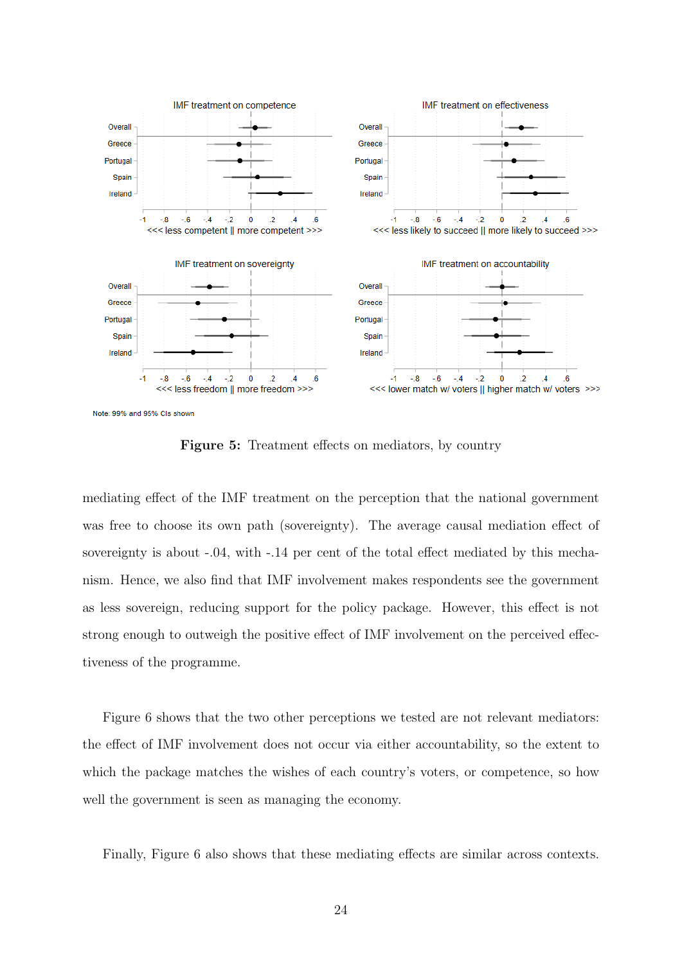<span id="page-23-0"></span>

Note: 99% and 95% Cls shown

Figure 5: Treatment effects on mediators, by country

mediating effect of the IMF treatment on the perception that the national government was free to choose its own path (sovereignty). The average causal mediation effect of sovereignty is about -.04, with -.14 per cent of the total effect mediated by this mechanism. Hence, we also find that IMF involvement makes respondents see the government as less sovereign, reducing support for the policy package. However, this effect is not strong enough to outweigh the positive effect of IMF involvement on the perceived effectiveness of the programme.

[Figure 6](#page-24-0) shows that the two other perceptions we tested are not relevant mediators: the effect of IMF involvement does not occur via either accountability, so the extent to which the package matches the wishes of each country's voters, or competence, so how well the government is seen as managing the economy.

Finally, [Figure 6](#page-24-0) also shows that these mediating effects are similar across contexts.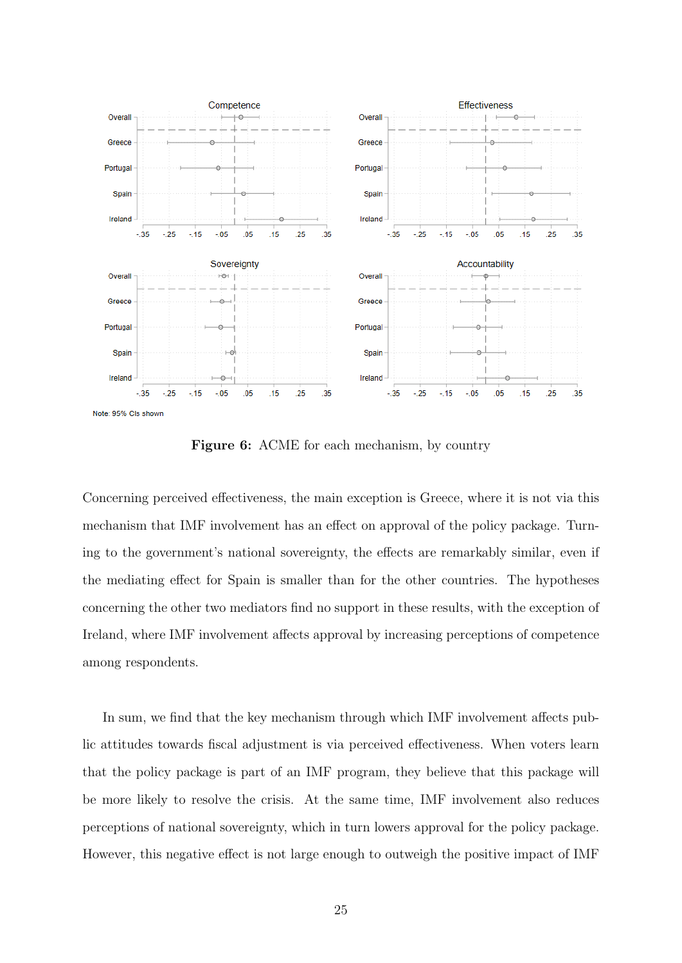<span id="page-24-0"></span>

Figure 6: ACME for each mechanism, by country

Concerning perceived effectiveness, the main exception is Greece, where it is not via this mechanism that IMF involvement has an effect on approval of the policy package. Turning to the government's national sovereignty, the effects are remarkably similar, even if the mediating effect for Spain is smaller than for the other countries. The hypotheses concerning the other two mediators find no support in these results, with the exception of Ireland, where IMF involvement affects approval by increasing perceptions of competence among respondents.

In sum, we find that the key mechanism through which IMF involvement affects public attitudes towards fiscal adjustment is via perceived effectiveness. When voters learn that the policy package is part of an IMF program, they believe that this package will be more likely to resolve the crisis. At the same time, IMF involvement also reduces perceptions of national sovereignty, which in turn lowers approval for the policy package. However, this negative effect is not large enough to outweigh the positive impact of IMF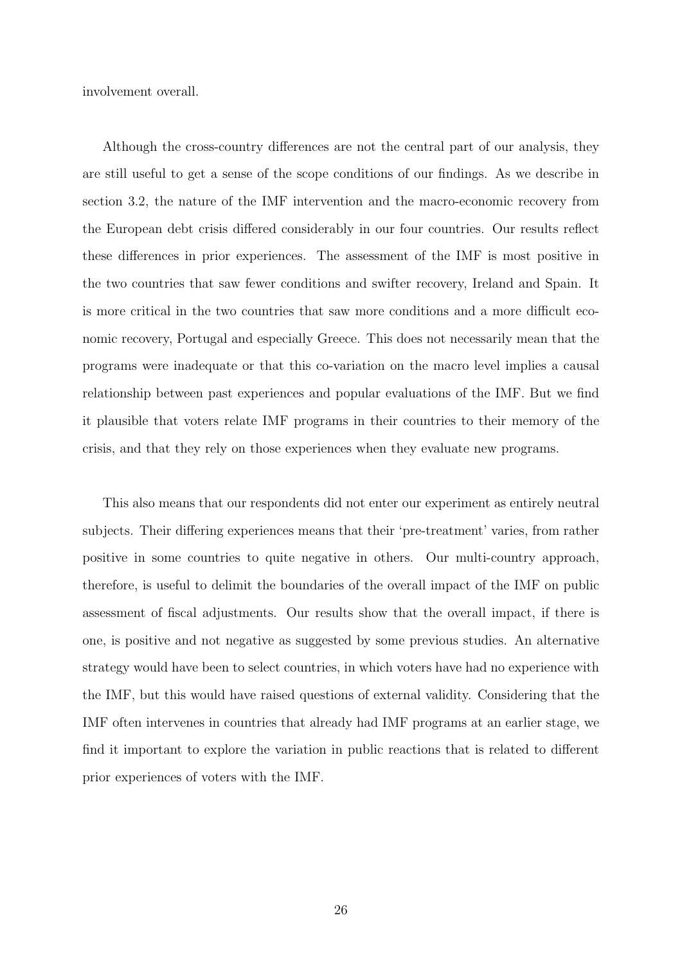involvement overall.

Although the cross-country differences are not the central part of our analysis, they are still useful to get a sense of the scope conditions of our findings. As we describe in section [3.2,](#page-15-0) the nature of the IMF intervention and the macro-economic recovery from the European debt crisis differed considerably in our four countries. Our results reflect these differences in prior experiences. The assessment of the IMF is most positive in the two countries that saw fewer conditions and swifter recovery, Ireland and Spain. It is more critical in the two countries that saw more conditions and a more difficult economic recovery, Portugal and especially Greece. This does not necessarily mean that the programs were inadequate or that this co-variation on the macro level implies a causal relationship between past experiences and popular evaluations of the IMF. But we find it plausible that voters relate IMF programs in their countries to their memory of the crisis, and that they rely on those experiences when they evaluate new programs.

This also means that our respondents did not enter our experiment as entirely neutral subjects. Their differing experiences means that their 'pre-treatment' varies, from rather positive in some countries to quite negative in others. Our multi-country approach, therefore, is useful to delimit the boundaries of the overall impact of the IMF on public assessment of fiscal adjustments. Our results show that the overall impact, if there is one, is positive and not negative as suggested by some previous studies. An alternative strategy would have been to select countries, in which voters have had no experience with the IMF, but this would have raised questions of external validity. Considering that the IMF often intervenes in countries that already had IMF programs at an earlier stage, we find it important to explore the variation in public reactions that is related to different prior experiences of voters with the IMF.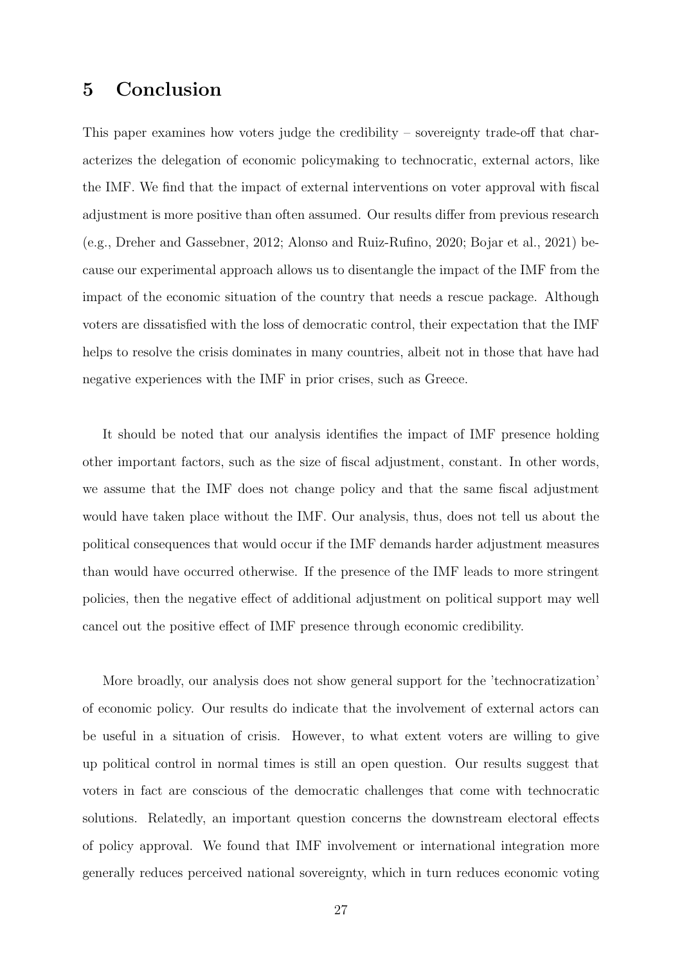### 5 Conclusion

This paper examines how voters judge the credibility – sovereignty trade-off that characterizes the delegation of economic policymaking to technocratic, external actors, like the IMF. We find that the impact of external interventions on voter approval with fiscal adjustment is more positive than often assumed. Our results differ from previous research (e.g., [Dreher and Gassebner,](#page-31-3) [2012;](#page-31-3) [Alonso and Ruiz-Rufino,](#page-28-1) [2020;](#page-28-1) [Bojar et al.,](#page-29-0) [2021\)](#page-29-0) because our experimental approach allows us to disentangle the impact of the IMF from the impact of the economic situation of the country that needs a rescue package. Although voters are dissatisfied with the loss of democratic control, their expectation that the IMF helps to resolve the crisis dominates in many countries, albeit not in those that have had negative experiences with the IMF in prior crises, such as Greece.

It should be noted that our analysis identifies the impact of IMF presence holding other important factors, such as the size of fiscal adjustment, constant. In other words, we assume that the IMF does not change policy and that the same fiscal adjustment would have taken place without the IMF. Our analysis, thus, does not tell us about the political consequences that would occur if the IMF demands harder adjustment measures than would have occurred otherwise. If the presence of the IMF leads to more stringent policies, then the negative effect of additional adjustment on political support may well cancel out the positive effect of IMF presence through economic credibility.

More broadly, our analysis does not show general support for the 'technocratization' of economic policy. Our results do indicate that the involvement of external actors can be useful in a situation of crisis. However, to what extent voters are willing to give up political control in normal times is still an open question. Our results suggest that voters in fact are conscious of the democratic challenges that come with technocratic solutions. Relatedly, an important question concerns the downstream electoral effects of policy approval. We found that IMF involvement or international integration more generally reduces perceived national sovereignty, which in turn reduces economic voting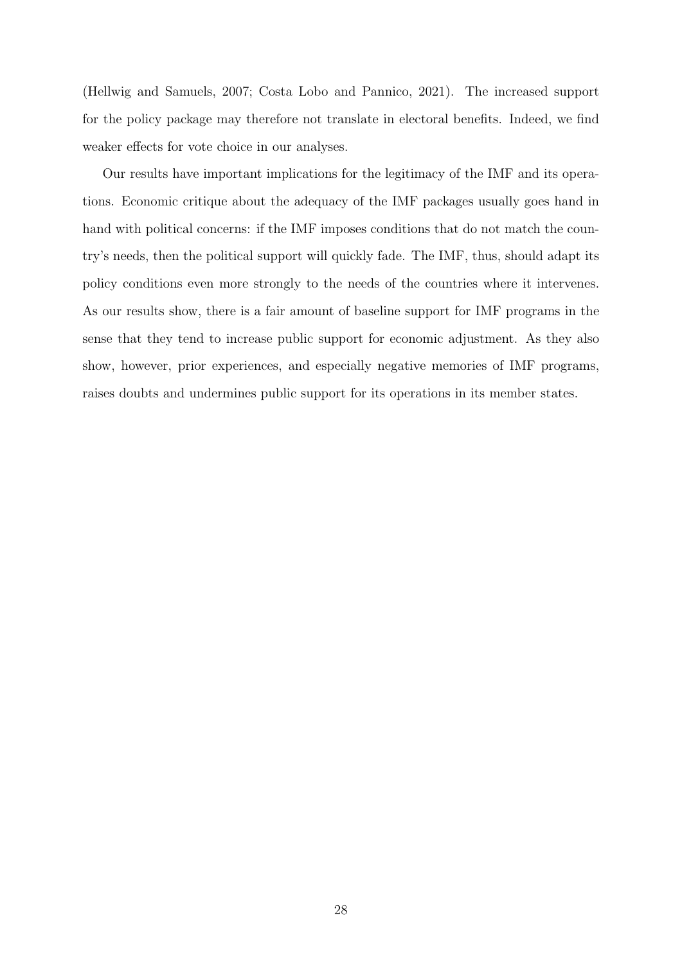[\(Hellwig and Samuels,](#page-31-10) [2007;](#page-31-10) [Costa Lobo and Pannico,](#page-30-10) [2021\)](#page-30-10). The increased support for the policy package may therefore not translate in electoral benefits. Indeed, we find weaker effects for vote choice in our analyses.

Our results have important implications for the legitimacy of the IMF and its operations. Economic critique about the adequacy of the IMF packages usually goes hand in hand with political concerns: if the IMF imposes conditions that do not match the country's needs, then the political support will quickly fade. The IMF, thus, should adapt its policy conditions even more strongly to the needs of the countries where it intervenes. As our results show, there is a fair amount of baseline support for IMF programs in the sense that they tend to increase public support for economic adjustment. As they also show, however, prior experiences, and especially negative memories of IMF programs, raises doubts and undermines public support for its operations in its member states.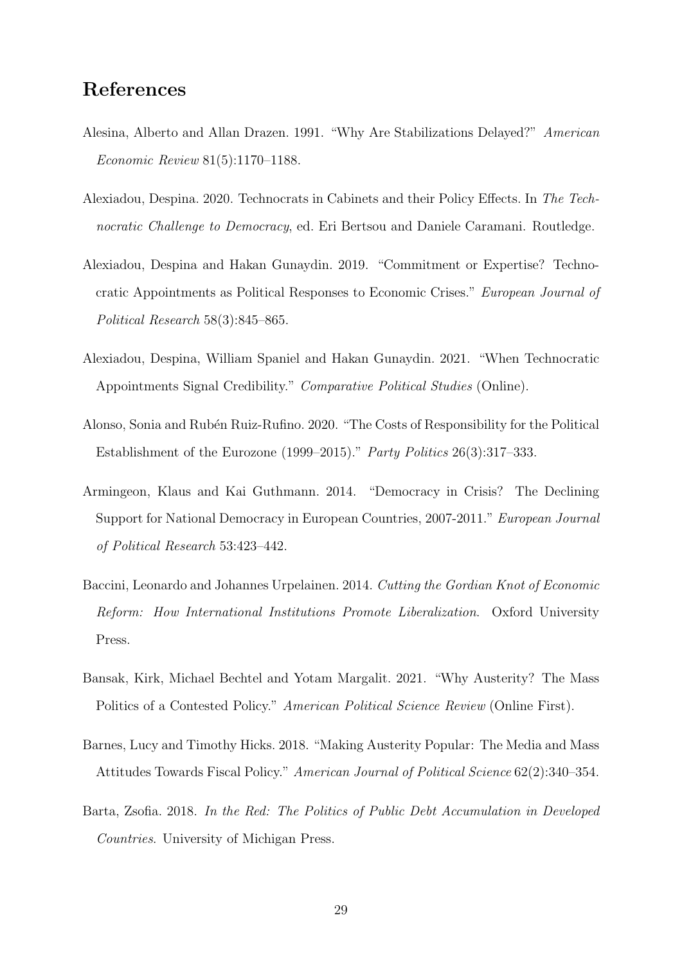### References

- <span id="page-28-2"></span>Alesina, Alberto and Allan Drazen. 1991. "Why Are Stabilizations Delayed?" American Economic Review 81(5):1170–1188.
- <span id="page-28-8"></span>Alexiadou, Despina. 2020. Technocrats in Cabinets and their Policy Effects. In The Technocratic Challenge to Democracy, ed. Eri Bertsou and Daniele Caramani. Routledge.
- <span id="page-28-5"></span>Alexiadou, Despina and Hakan Gunaydin. 2019. "Commitment or Expertise? Technocratic Appointments as Political Responses to Economic Crises." European Journal of Political Research 58(3):845–865.
- <span id="page-28-0"></span>Alexiadou, Despina, William Spaniel and Hakan Gunaydin. 2021. "When Technocratic Appointments Signal Credibility." Comparative Political Studies (Online).
- <span id="page-28-1"></span>Alonso, Sonia and Rubén Ruiz-Rufino. 2020. "The Costs of Responsibility for the Political Establishment of the Eurozone (1999–2015)." Party Politics 26(3):317–333.
- <span id="page-28-9"></span>Armingeon, Klaus and Kai Guthmann. 2014. "Democracy in Crisis? The Declining Support for National Democracy in European Countries, 2007-2011." European Journal of Political Research 53:423–442.
- <span id="page-28-4"></span>Baccini, Leonardo and Johannes Urpelainen. 2014. Cutting the Gordian Knot of Economic Reform: How International Institutions Promote Liberalization. Oxford University Press.
- <span id="page-28-6"></span>Bansak, Kirk, Michael Bechtel and Yotam Margalit. 2021. "Why Austerity? The Mass Politics of a Contested Policy." American Political Science Review (Online First).
- <span id="page-28-7"></span>Barnes, Lucy and Timothy Hicks. 2018. "Making Austerity Popular: The Media and Mass Attitudes Towards Fiscal Policy." American Journal of Political Science 62(2):340–354.
- <span id="page-28-3"></span>Barta, Zsofia. 2018. In the Red: The Politics of Public Debt Accumulation in Developed Countries. University of Michigan Press.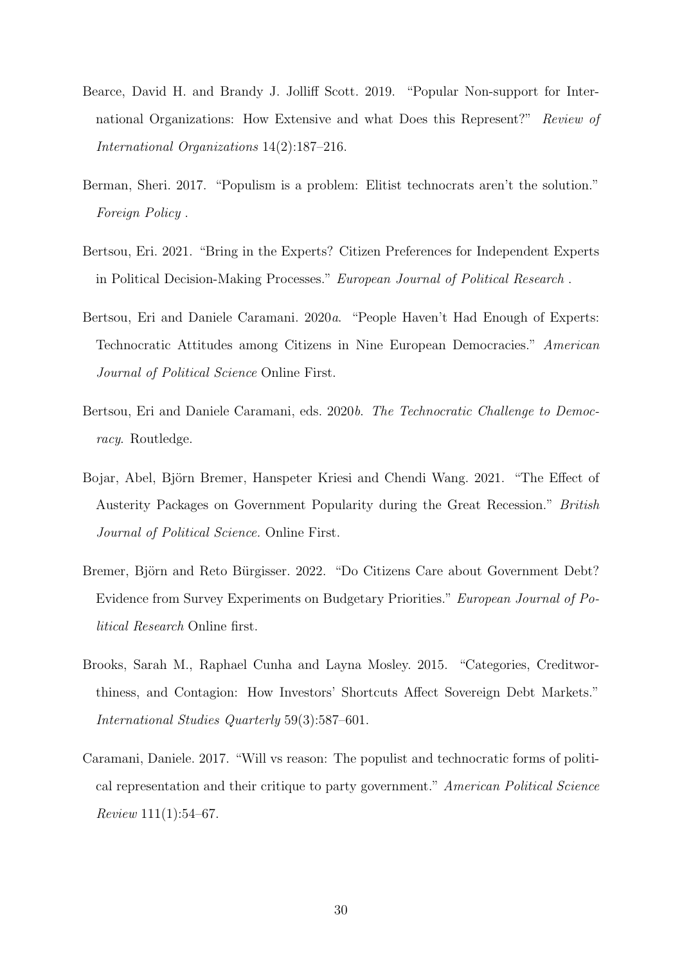- <span id="page-29-8"></span>Bearce, David H. and Brandy J. Jolliff Scott. 2019. "Popular Non-support for International Organizations: How Extensive and what Does this Represent?" Review of International Organizations 14(2):187–216.
- <span id="page-29-1"></span>Berman, Sheri. 2017. "Populism is a problem: Elitist technocrats aren't the solution." Foreign Policy .
- <span id="page-29-5"></span>Bertsou, Eri. 2021. "Bring in the Experts? Citizen Preferences for Independent Experts in Political Decision-Making Processes." European Journal of Political Research .
- <span id="page-29-3"></span>Bertsou, Eri and Daniele Caramani. 2020a. "People Haven't Had Enough of Experts: Technocratic Attitudes among Citizens in Nine European Democracies." American Journal of Political Science Online First.
- <span id="page-29-7"></span>Bertsou, Eri and Daniele Caramani, eds. 2020b. The Technocratic Challenge to Democracy. Routledge.
- <span id="page-29-0"></span>Bojar, Abel, Björn Bremer, Hanspeter Kriesi and Chendi Wang. 2021. "The Effect of Austerity Packages on Government Popularity during the Great Recession." British Journal of Political Science. Online First.
- <span id="page-29-6"></span>Bremer, Björn and Reto Bürgisser. 2022. "Do Citizens Care about Government Debt? Evidence from Survey Experiments on Budgetary Priorities." European Journal of Political Research Online first.
- <span id="page-29-4"></span>Brooks, Sarah M., Raphael Cunha and Layna Mosley. 2015. "Categories, Creditworthiness, and Contagion: How Investors' Shortcuts Affect Sovereign Debt Markets." International Studies Quarterly 59(3):587–601.
- <span id="page-29-2"></span>Caramani, Daniele. 2017. "Will vs reason: The populist and technocratic forms of political representation and their critique to party government." American Political Science  $Review 111(1):54–67.$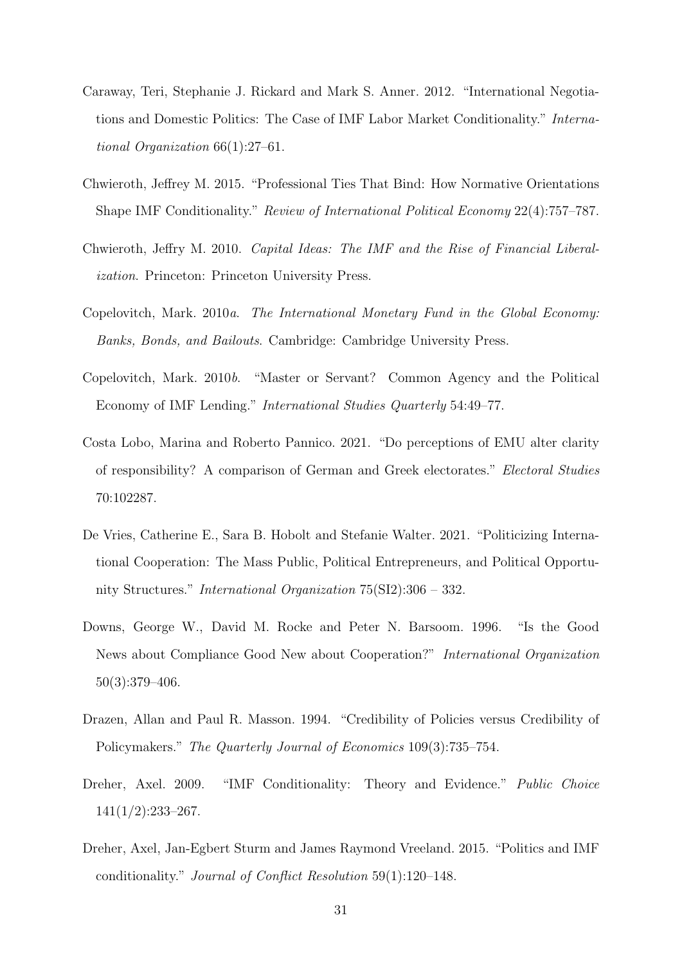- <span id="page-30-4"></span>Caraway, Teri, Stephanie J. Rickard and Mark S. Anner. 2012. "International Negotiations and Domestic Politics: The Case of IMF Labor Market Conditionality." International Organization 66(1):27–61.
- <span id="page-30-1"></span>Chwieroth, Jeffrey M. 2015. "Professional Ties That Bind: How Normative Orientations Shape IMF Conditionality." Review of International Political Economy 22(4):757–787.
- <span id="page-30-8"></span>Chwieroth, Jeffry M. 2010. Capital Ideas: The IMF and the Rise of Financial Liberalization. Princeton: Princeton University Press.
- <span id="page-30-0"></span>Copelovitch, Mark. 2010a. The International Monetary Fund in the Global Economy: Banks, Bonds, and Bailouts. Cambridge: Cambridge University Press.
- <span id="page-30-9"></span>Copelovitch, Mark. 2010b. "Master or Servant? Common Agency and the Political Economy of IMF Lending." International Studies Quarterly 54:49–77.
- <span id="page-30-10"></span>Costa Lobo, Marina and Roberto Pannico. 2021. "Do perceptions of EMU alter clarity of responsibility? A comparison of German and Greek electorates." Electoral Studies 70:102287.
- <span id="page-30-5"></span>De Vries, Catherine E., Sara B. Hobolt and Stefanie Walter. 2021. "Politicizing International Cooperation: The Mass Public, Political Entrepreneurs, and Political Opportunity Structures." International Organization 75(SI2):306 – 332.
- <span id="page-30-7"></span>Downs, George W., David M. Rocke and Peter N. Barsoom. 1996. "Is the Good News about Compliance Good New about Cooperation?" International Organization 50(3):379–406.
- <span id="page-30-6"></span>Drazen, Allan and Paul R. Masson. 1994. "Credibility of Policies versus Credibility of Policymakers." The Quarterly Journal of Economics 109(3):735–754.
- <span id="page-30-2"></span>Dreher, Axel. 2009. "IMF Conditionality: Theory and Evidence." Public Choice 141(1/2):233–267.
- <span id="page-30-3"></span>Dreher, Axel, Jan-Egbert Sturm and James Raymond Vreeland. 2015. "Politics and IMF conditionality." Journal of Conflict Resolution 59(1):120–148.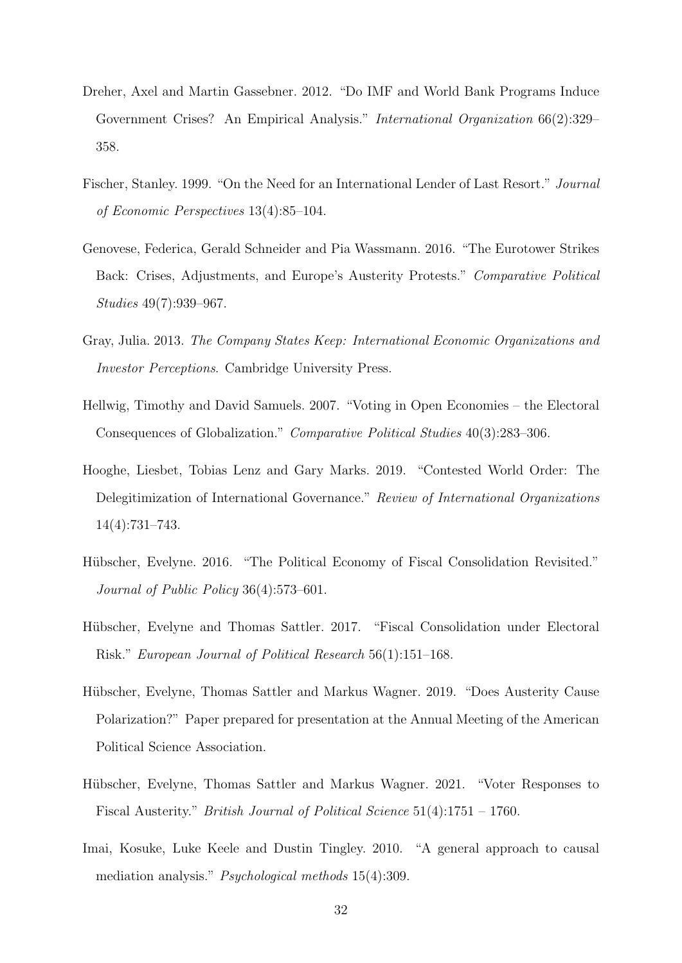- <span id="page-31-3"></span>Dreher, Axel and Martin Gassebner. 2012. "Do IMF and World Bank Programs Induce Government Crises? An Empirical Analysis." International Organization 66(2):329– 358.
- <span id="page-31-7"></span>Fischer, Stanley. 1999. "On the Need for an International Lender of Last Resort." Journal of Economic Perspectives 13(4):85–104.
- <span id="page-31-0"></span>Genovese, Federica, Gerald Schneider and Pia Wassmann. 2016. "The Eurotower Strikes Back: Crises, Adjustments, and Europe's Austerity Protests." Comparative Political Studies 49(7):939–967.
- <span id="page-31-2"></span>Gray, Julia. 2013. The Company States Keep: International Economic Organizations and Investor Perceptions. Cambridge University Press.
- <span id="page-31-10"></span>Hellwig, Timothy and David Samuels. 2007. "Voting in Open Economies – the Electoral Consequences of Globalization." Comparative Political Studies 40(3):283–306.
- <span id="page-31-6"></span>Hooghe, Liesbet, Tobias Lenz and Gary Marks. 2019. "Contested World Order: The Delegitimization of International Governance." Review of International Organizations 14(4):731–743.
- <span id="page-31-4"></span>Hübscher, Evelyne. 2016. "The Political Economy of Fiscal Consolidation Revisited." Journal of Public Policy 36(4):573–601.
- <span id="page-31-5"></span>Hübscher, Evelyne and Thomas Sattler. 2017. "Fiscal Consolidation under Electoral Risk." European Journal of Political Research 56(1):151–168.
- <span id="page-31-8"></span>Hübscher, Evelyne, Thomas Sattler and Markus Wagner. 2019. "Does Austerity Cause Polarization?" Paper prepared for presentation at the Annual Meeting of the American Political Science Association.
- <span id="page-31-1"></span>Hübscher, Evelyne, Thomas Sattler and Markus Wagner. 2021. "Voter Responses to Fiscal Austerity." British Journal of Political Science 51(4):1751 – 1760.
- <span id="page-31-9"></span>Imai, Kosuke, Luke Keele and Dustin Tingley. 2010. "A general approach to causal mediation analysis." Psychological methods 15(4):309.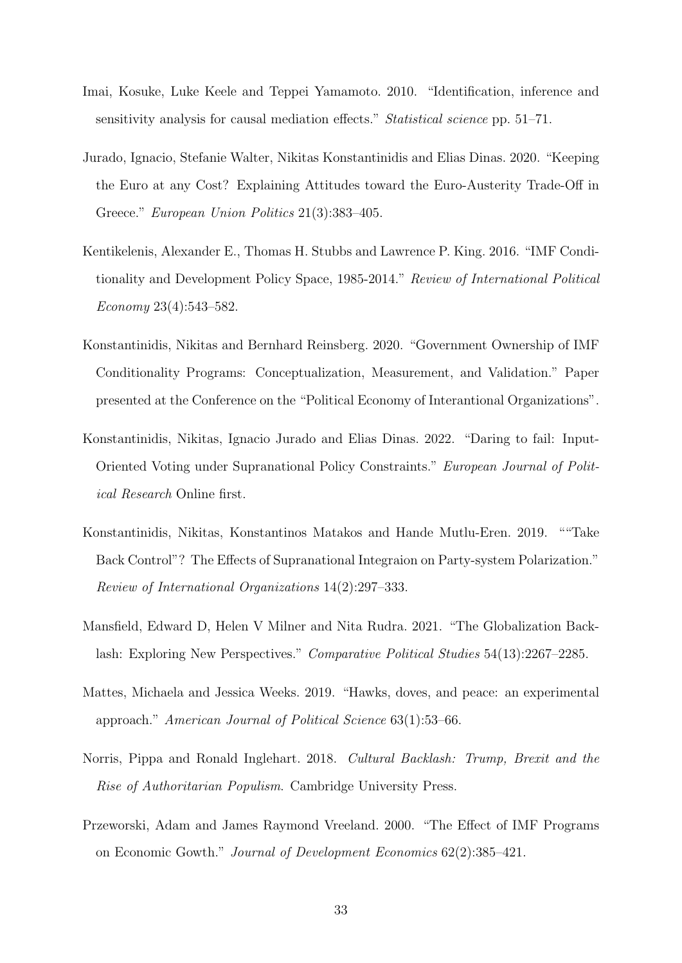- <span id="page-32-9"></span>Imai, Kosuke, Luke Keele and Teppei Yamamoto. 2010. "Identification, inference and sensitivity analysis for causal mediation effects." Statistical science pp. 51–71.
- <span id="page-32-2"></span>Jurado, Ignacio, Stefanie Walter, Nikitas Konstantinidis and Elias Dinas. 2020. "Keeping the Euro at any Cost? Explaining Attitudes toward the Euro-Austerity Trade-Off in Greece." European Union Politics 21(3):383–405.
- <span id="page-32-7"></span>Kentikelenis, Alexander E., Thomas H. Stubbs and Lawrence P. King. 2016. "IMF Conditionality and Development Policy Space, 1985-2014." Review of International Political Economy 23(4):543–582.
- <span id="page-32-5"></span>Konstantinidis, Nikitas and Bernhard Reinsberg. 2020. "Government Ownership of IMF Conditionality Programs: Conceptualization, Measurement, and Validation." Paper presented at the Conference on the "Political Economy of Interantional Organizations".
- <span id="page-32-1"></span>Konstantinidis, Nikitas, Ignacio Jurado and Elias Dinas. 2022. "Daring to fail: Input-Oriented Voting under Supranational Policy Constraints." European Journal of Political Research Online first.
- <span id="page-32-6"></span>Konstantinidis, Nikitas, Konstantinos Matakos and Hande Mutlu-Eren. 2019. ""Take Back Control"? The Effects of Supranational Integraion on Party-system Polarization." Review of International Organizations 14(2):297–333.
- <span id="page-32-4"></span>Mansfield, Edward D, Helen V Milner and Nita Rudra. 2021. "The Globalization Backlash: Exploring New Perspectives." Comparative Political Studies 54(13):2267–2285.
- <span id="page-32-8"></span>Mattes, Michaela and Jessica Weeks. 2019. "Hawks, doves, and peace: an experimental approach." American Journal of Political Science 63(1):53–66.
- <span id="page-32-3"></span>Norris, Pippa and Ronald Inglehart. 2018. Cultural Backlash: Trump, Brexit and the Rise of Authoritarian Populism. Cambridge University Press.
- <span id="page-32-0"></span>Przeworski, Adam and James Raymond Vreeland. 2000. "The Effect of IMF Programs on Economic Gowth." Journal of Development Economics 62(2):385–421.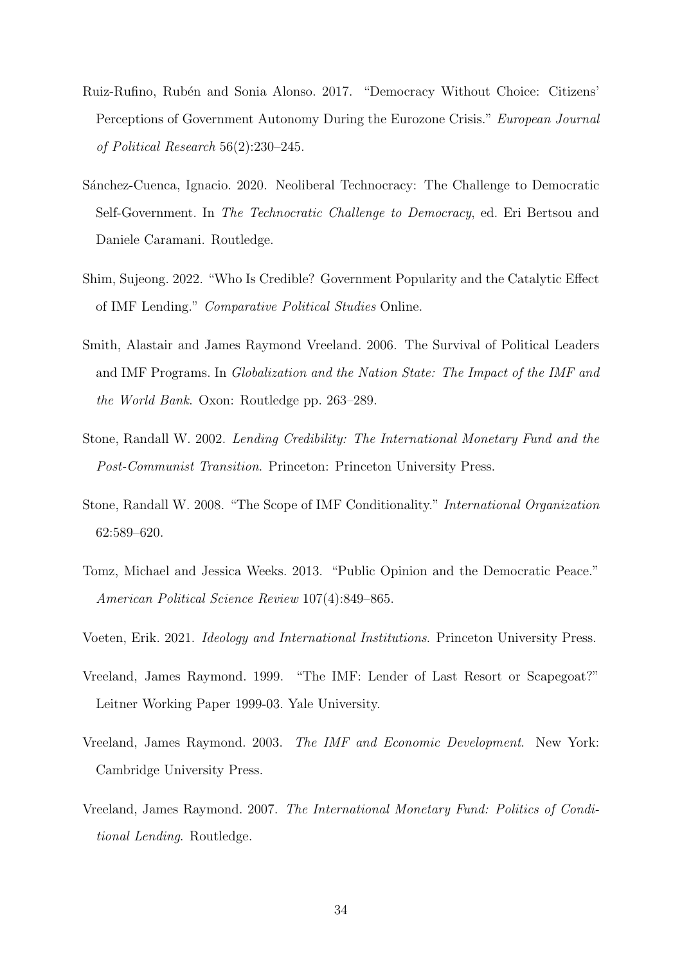- <span id="page-33-3"></span>Ruiz-Rufino, Rub´en and Sonia Alonso. 2017. "Democracy Without Choice: Citizens' Perceptions of Government Autonomy During the Eurozone Crisis." European Journal of Political Research 56(2):230–245.
- <span id="page-33-9"></span>S´anchez-Cuenca, Ignacio. 2020. Neoliberal Technocracy: The Challenge to Democratic Self-Government. In The Technocratic Challenge to Democracy, ed. Eri Bertsou and Daniele Caramani. Routledge.
- <span id="page-33-4"></span>Shim, Sujeong. 2022. "Who Is Credible? Government Popularity and the Catalytic Effect of IMF Lending." Comparative Political Studies Online.
- <span id="page-33-1"></span>Smith, Alastair and James Raymond Vreeland. 2006. The Survival of Political Leaders and IMF Programs. In Globalization and the Nation State: The Impact of the IMF and the World Bank. Oxon: Routledge pp. 263–289.
- <span id="page-33-2"></span>Stone, Randall W. 2002. Lending Credibility: The International Monetary Fund and the Post-Communist Transition. Princeton: Princeton University Press.
- <span id="page-33-6"></span>Stone, Randall W. 2008. "The Scope of IMF Conditionality." International Organization 62:589–620.
- <span id="page-33-10"></span>Tomz, Michael and Jessica Weeks. 2013. "Public Opinion and the Democratic Peace." American Political Science Review 107(4):849–865.
- <span id="page-33-8"></span>Voeten, Erik. 2021. Ideology and International Institutions. Princeton University Press.
- <span id="page-33-0"></span>Vreeland, James Raymond. 1999. "The IMF: Lender of Last Resort or Scapegoat?" Leitner Working Paper 1999-03. Yale University.
- <span id="page-33-5"></span>Vreeland, James Raymond. 2003. The IMF and Economic Development. New York: Cambridge University Press.
- <span id="page-33-7"></span>Vreeland, James Raymond. 2007. The International Monetary Fund: Politics of Conditional Lending. Routledge.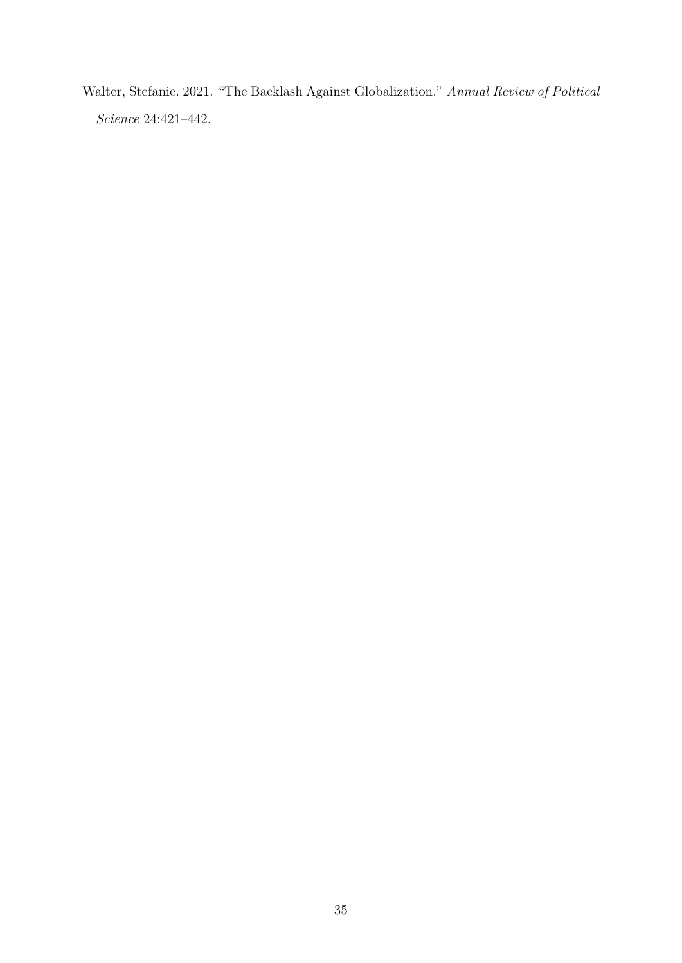<span id="page-34-0"></span>Walter, Stefanie. 2021. "The Backlash Against Globalization." Annual Review of Political Science 24:421–442.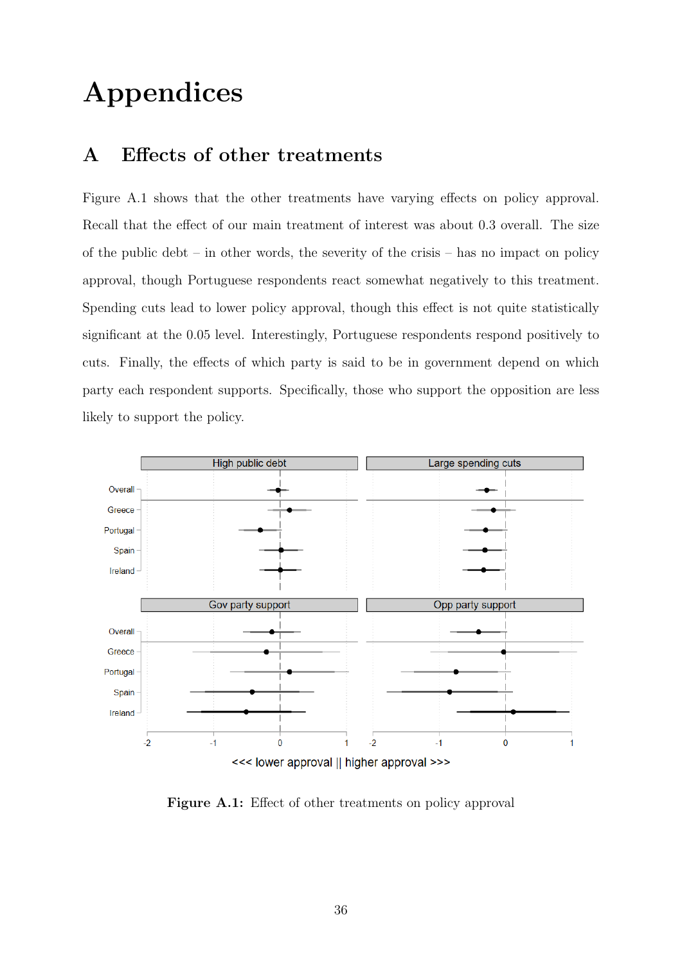# Appendices

### A Effects of other treatments

[Figure A.1](#page-35-0) shows that the other treatments have varying effects on policy approval. Recall that the effect of our main treatment of interest was about 0.3 overall. The size of the public debt – in other words, the severity of the crisis – has no impact on policy approval, though Portuguese respondents react somewhat negatively to this treatment. Spending cuts lead to lower policy approval, though this effect is not quite statistically significant at the 0.05 level. Interestingly, Portuguese respondents respond positively to cuts. Finally, the effects of which party is said to be in government depend on which party each respondent supports. Specifically, those who support the opposition are less likely to support the policy.

<span id="page-35-0"></span>

Figure A.1: Effect of other treatments on policy approval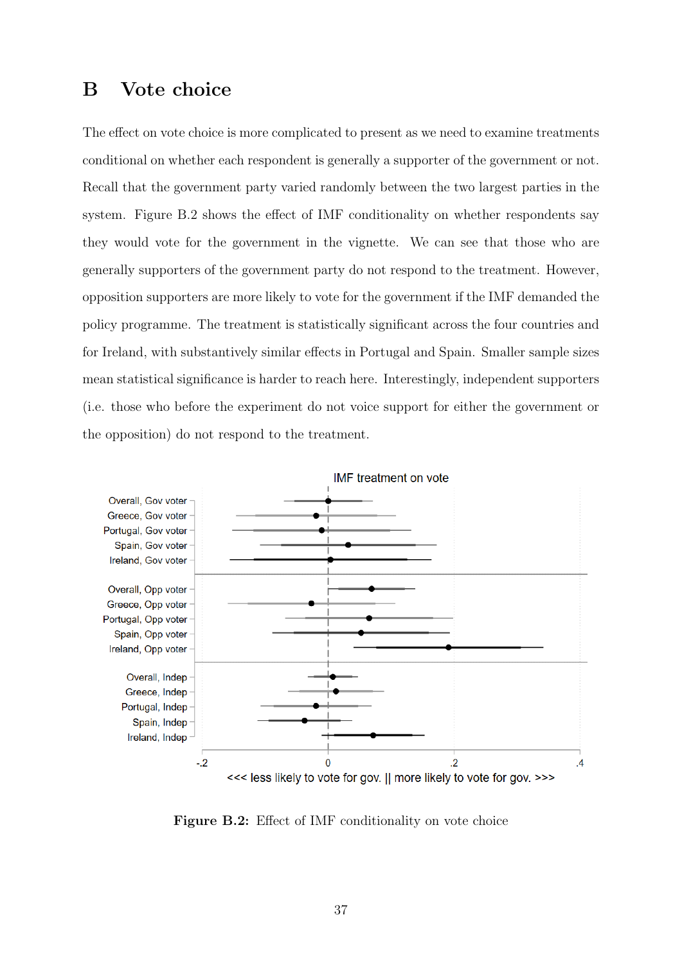### B Vote choice

The effect on vote choice is more complicated to present as we need to examine treatments conditional on whether each respondent is generally a supporter of the government or not. Recall that the government party varied randomly between the two largest parties in the system. [Figure B.2](#page-36-0) shows the effect of IMF conditionality on whether respondents say they would vote for the government in the vignette. We can see that those who are generally supporters of the government party do not respond to the treatment. However, opposition supporters are more likely to vote for the government if the IMF demanded the policy programme. The treatment is statistically significant across the four countries and for Ireland, with substantively similar effects in Portugal and Spain. Smaller sample sizes mean statistical significance is harder to reach here. Interestingly, independent supporters (i.e. those who before the experiment do not voice support for either the government or the opposition) do not respond to the treatment.

<span id="page-36-0"></span>

Figure B.2: Effect of IMF conditionality on vote choice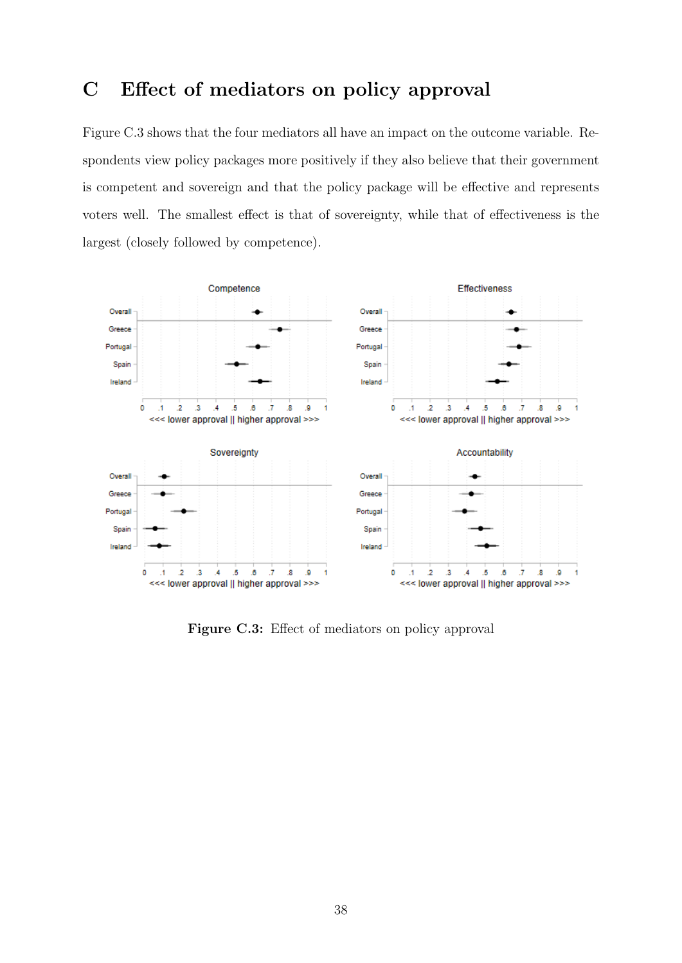### C Effect of mediators on policy approval

[Figure C.3](#page-37-0) shows that the four mediators all have an impact on the outcome variable. Respondents view policy packages more positively if they also believe that their government is competent and sovereign and that the policy package will be effective and represents voters well. The smallest effect is that of sovereignty, while that of effectiveness is the largest (closely followed by competence).

<span id="page-37-0"></span>

Figure C.3: Effect of mediators on policy approval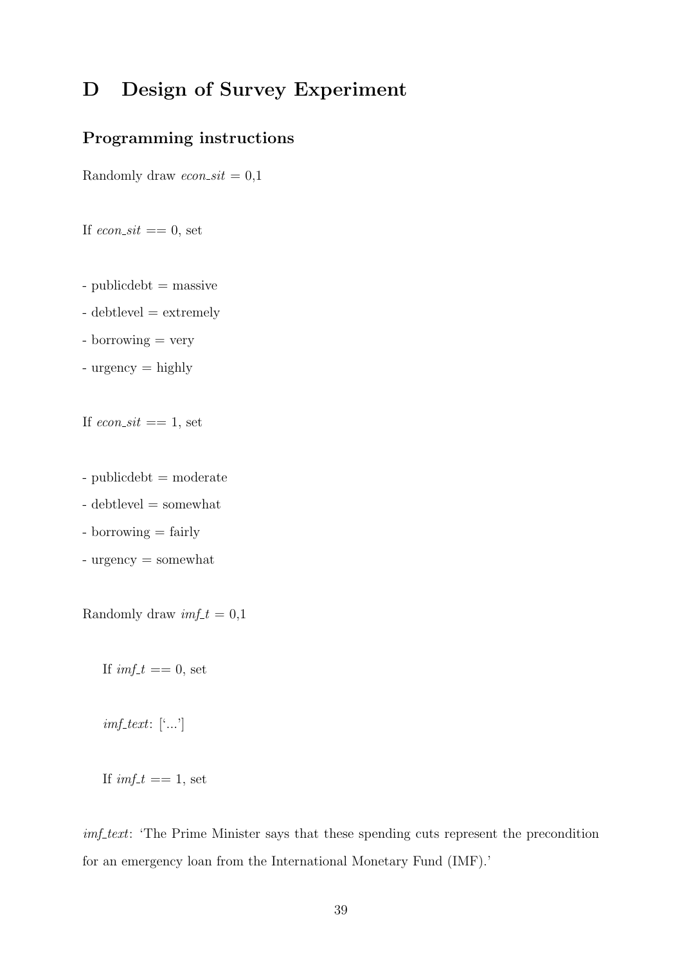### D Design of Survey Experiment

### Programming instructions

Randomly draw  $econ\_sit = 0,1$ 

If  $econ\_sit == 0$ , set

- publicdebt = massive
- debtlevel = extremely
- borrowing = very
- urgency = highly

If  $econ\_sit == 1$ , set

- publicdebt = moderate
- debtlevel = somewhat
- borrowing = fairly
- urgency = somewhat

Randomly draw  $imf_t = 0,1$ 

If  $imf_t = 0$ , set

 $imf_{\perp} text: ['...']$ 

If  $imf_t == 1$ , set

imf text: 'The Prime Minister says that these spending cuts represent the precondition for an emergency loan from the International Monetary Fund (IMF).'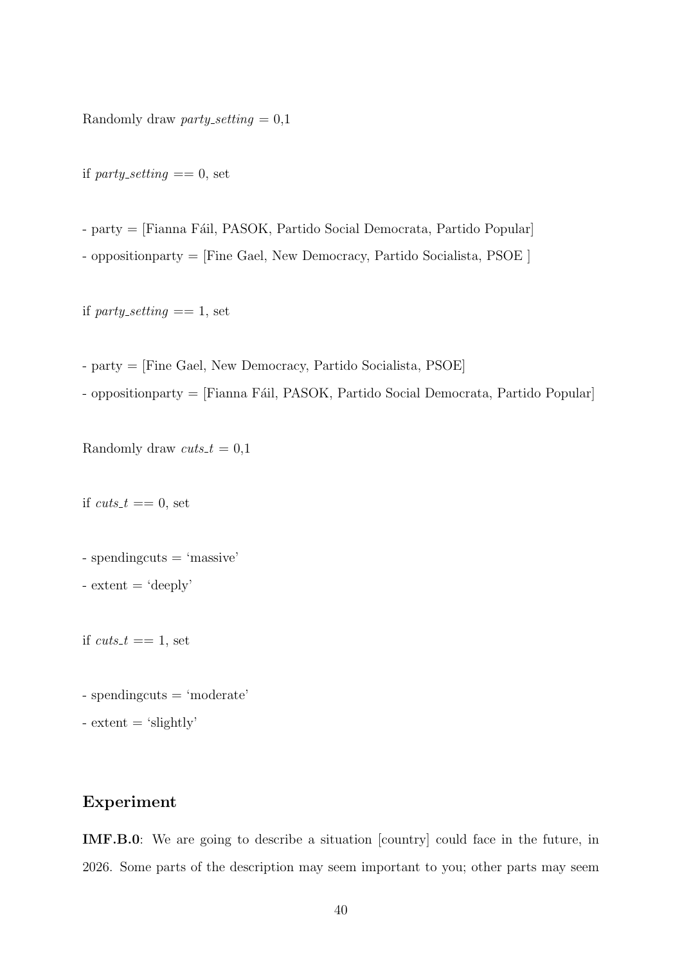Randomly draw party\_setting  $= 0.1$ 

if party\_setting  $== 0$ , set

- party = [Fianna Fáil, PASOK, Partido Social Democrata, Partido Popular]

- oppositionparty = [Fine Gael, New Democracy, Partido Socialista, PSOE ]

if party-setting  $== 1$ , set

- party = [Fine Gael, New Democracy, Partido Socialista, PSOE]

- oppositionparty = [Fianna Fáil, PASOK, Partido Social Democrata, Partido Popular]

Randomly draw  $cuts_t = 0,1$ 

if  $cuts_t == 0$ , set

- spendingcuts = 'massive'

 $-$  extent  $=$  'deeply'

if  $cuts_t == 1$ , set

- spendingcuts = 'moderate'

 $-$  extent  $=$  'slightly'

#### Experiment

IMF.B.0: We are going to describe a situation [country] could face in the future, in 2026. Some parts of the description may seem important to you; other parts may seem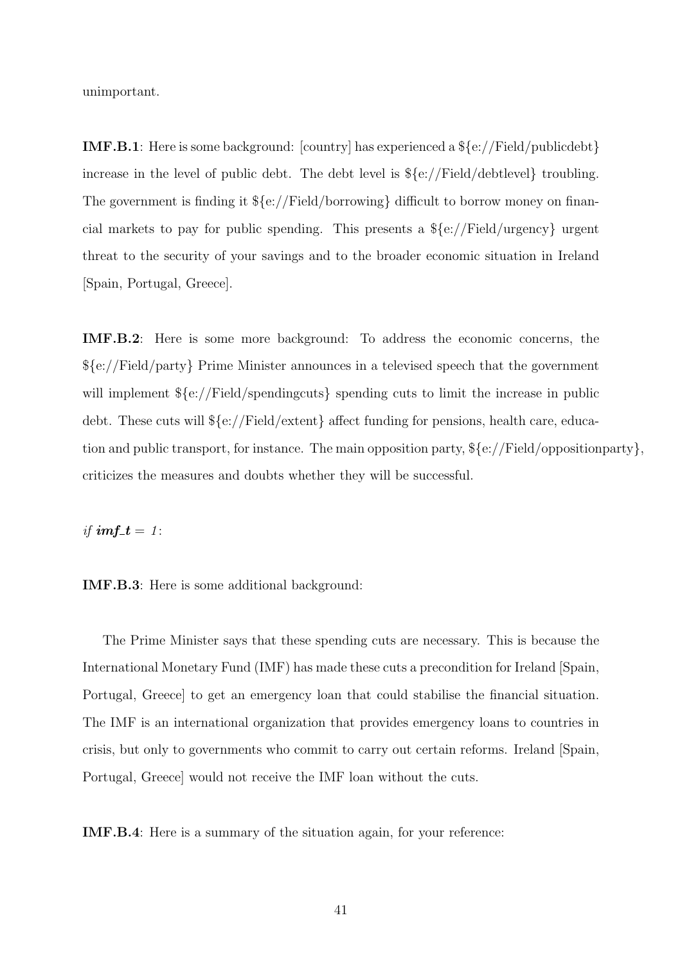unimportant.

IMF.B.1: Here is some background: [country] has experienced a \${e://Field/publicdebt} increase in the level of public debt. The debt level is \${e://Field/debtlevel} troubling. The government is finding it \${e://Field/borrowing} difficult to borrow money on financial markets to pay for public spending. This presents a \${e://Field/urgency} urgent threat to the security of your savings and to the broader economic situation in Ireland [Spain, Portugal, Greece].

IMF.B.2: Here is some more background: To address the economic concerns, the \${e://Field/party} Prime Minister announces in a televised speech that the government will implement  $\S\{e:$  / Field/spendingcuts spending cuts to limit the increase in public debt. These cuts will \${e://Field/extent} affect funding for pensions, health care, education and public transport, for instance. The main opposition party, \${e://Field/oppositionparty}, criticizes the measures and doubts whether they will be successful.

if  $imf_t = 1$ :

IMF.B.3: Here is some additional background:

The Prime Minister says that these spending cuts are necessary. This is because the International Monetary Fund (IMF) has made these cuts a precondition for Ireland [Spain, Portugal, Greece] to get an emergency loan that could stabilise the financial situation. The IMF is an international organization that provides emergency loans to countries in crisis, but only to governments who commit to carry out certain reforms. Ireland [Spain, Portugal, Greece] would not receive the IMF loan without the cuts.

IMF.B.4: Here is a summary of the situation again, for your reference: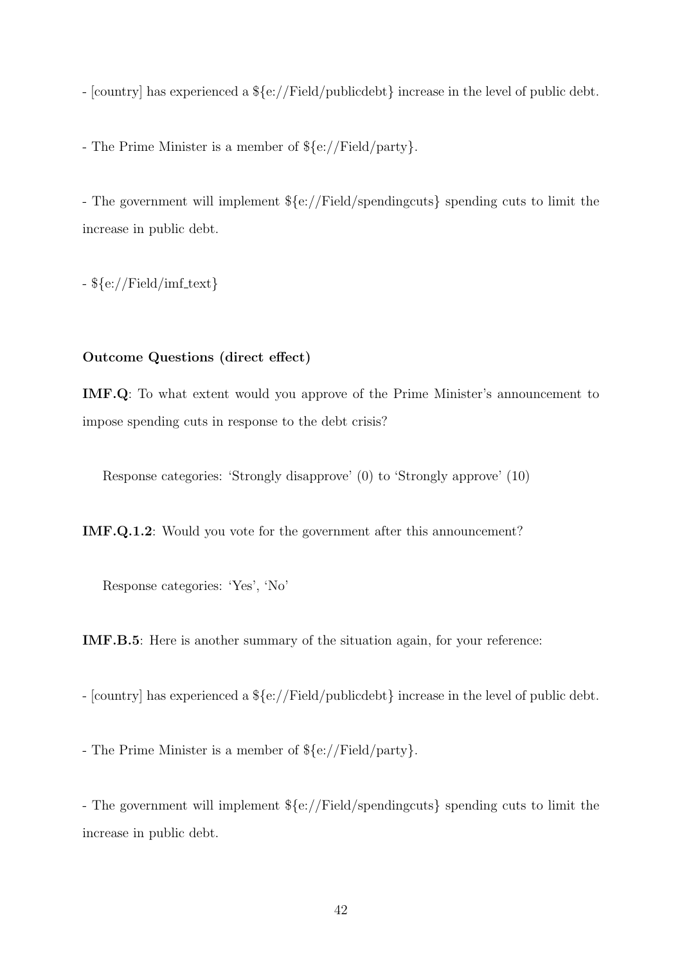- [country] has experienced a \${e://Field/publicdebt} increase in the level of public debt.

- The Prime Minister is a member of \${e://Field/party}.

- The government will implement \${e://Field/spendingcuts} spending cuts to limit the increase in public debt.

 $({\rm [Fe/H]})$  -  $({\rm [Fe/H]})$ 

#### Outcome Questions (direct effect)

IMF.Q: To what extent would you approve of the Prime Minister's announcement to impose spending cuts in response to the debt crisis?

Response categories: 'Strongly disapprove' (0) to 'Strongly approve' (10)

IMF.Q.1.2: Would you vote for the government after this announcement?

Response categories: 'Yes', 'No'

IMF.B.5: Here is another summary of the situation again, for your reference:

- [country] has experienced a \${e://Field/publicdebt} increase in the level of public debt.

- The Prime Minister is a member of \${e://Field/party}.

- The government will implement \${e://Field/spendingcuts} spending cuts to limit the increase in public debt.